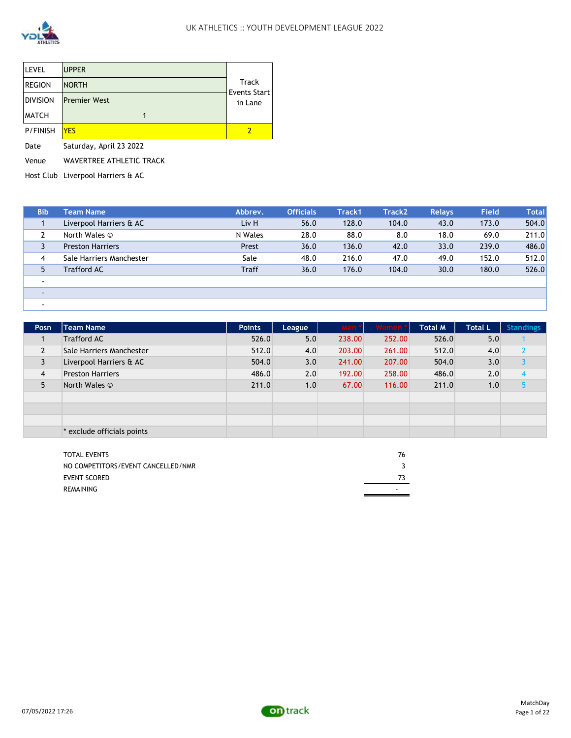

| <b>LEVEL</b>    | <b>UPPER</b>            |                                     |
|-----------------|-------------------------|-------------------------------------|
| <b>REGION</b>   | <b>NORTH</b>            | <b>Track</b><br><b>Events Start</b> |
| <b>DIVISION</b> | <b>Premier West</b>     | in Lane                             |
| <b>MATCH</b>    |                         |                                     |
| <b>P/FINISH</b> | YFS                     | 2                                   |
| Date            | Saturday, April 23 2022 |                                     |

Venue WAVERTREE ATHLETIC TRACK

Host Club Liverpool Harriers & AC

| <b>Bib</b> | <b>Team Name</b>         | Abbrev.      | <b>Officials</b> | Track1 | Track <sub>2</sub> | <b>Relays</b> | <b>Field</b> | <b>Total</b> |
|------------|--------------------------|--------------|------------------|--------|--------------------|---------------|--------------|--------------|
|            | Liverpool Harriers & AC  | Liv H        | 56.0             | 128.0  | 104.0              | 43.0          | 173.0        | 504.0        |
|            | North Wales ©            | N Wales      | 28.0             | 88.0   | 8.0                | 18.0          | 69.0         | 211.0        |
|            | <b>Preston Harriers</b>  | Prest        | 36.0             | 136.0  | 42.0               | 33.0          | 239.0        | 486.0        |
| 4          | Sale Harriers Manchester | Sale         | 48.0             | 216.0  | 47.0               | 49.0          | 152.0        | 512.0        |
| 5          | <b>Trafford AC</b>       | <b>Traff</b> | 36.0             | 176.0  | 104.0              | 30.0          | 180.0        | 526.0        |
|            |                          |              |                  |        |                    |               |              |              |
|            |                          |              |                  |        |                    |               |              |              |
| ۰          |                          |              |                  |        |                    |               |              |              |

| Posn           | <b>Team Name</b>           | <b>Points</b> | League | <b>Men</b> | Women * | <b>Total M</b> | <b>Total L</b> | <b>Standings</b> |
|----------------|----------------------------|---------------|--------|------------|---------|----------------|----------------|------------------|
|                | <b>Trafford AC</b>         | 526.0         | 5.0    | 238.00     | 252.00  | 526.0          | 5.0            |                  |
| $\overline{2}$ | Sale Harriers Manchester   | 512.0         | 4.0    | 203.00     | 261.00  | 512.0          | 4.0            |                  |
| 3              | Liverpool Harriers & AC    | 504.0         | 3.0    | 241.00     | 207.00  | 504.0          | 3.0            |                  |
| $\overline{4}$ | <b>Preston Harriers</b>    | 486.0         | 2.0    | 192.00     | 258.00  | 486.0          | 2.0            | 4                |
| 5              | North Wales ©              | 211.0         | 1.0    | 67.00      | 116.00  | 211.0          | 1.0            |                  |
|                |                            |               |        |            |         |                |                |                  |
|                |                            |               |        |            |         |                |                |                  |
|                |                            |               |        |            |         |                |                |                  |
|                | * exclude officials points |               |        |            |         |                |                |                  |

| <b>TOTAL EVENTS</b>                | 76 |
|------------------------------------|----|
| NO COMPETITORS/EVENT CANCELLED/NMR |    |
| <b>EVENT SCORED</b>                |    |
| REMAINING                          | -  |

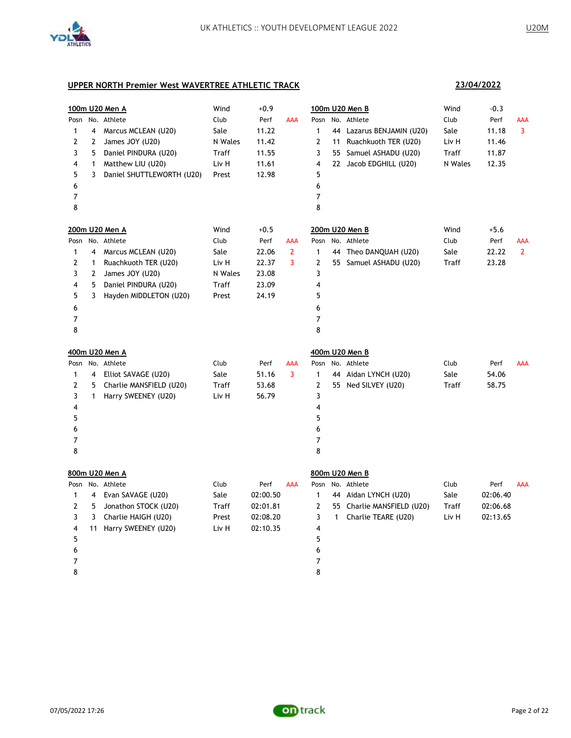

**23/04/2022**

|                |                | 100m U20 Men A            | Wind         | $+0.9$   |                |                |              | 100m U20 Men B             | Wind    | $-0.3$   |              |
|----------------|----------------|---------------------------|--------------|----------|----------------|----------------|--------------|----------------------------|---------|----------|--------------|
|                |                | Posn No. Athlete          | Club         | Perf     | <b>AAA</b>     | Posn           |              | No. Athlete                | Club    | Perf     | AAA          |
| $\mathbf{1}$   | 4              | Marcus MCLEAN (U20)       | Sale         | 11.22    |                | $\mathbf{1}$   |              | 44 Lazarus BENJAMIN (U20)  | Sale    | 11.18    | 3            |
| 2              | 2              | James JOY (U20)           | N Wales      | 11.42    |                | $\overline{2}$ | 11           | Ruachkuoth TER (U20)       | Liv H   | 11.46    |              |
| 3              | 5              | Daniel PINDURA (U20)      | <b>Traff</b> | 11.55    |                | 3              |              | 55 Samuel ASHADU (U20)     | Traff   | 11.87    |              |
| 4              | $\mathbf{1}$   | Matthew LIU (U20)         | Liv H        | 11.61    |                | 4              |              | 22 Jacob EDGHILL (U20)     | N Wales | 12.35    |              |
| 5              | 3              | Daniel SHUTTLEWORTH (U20) | Prest        | 12.98    |                | 5              |              |                            |         |          |              |
| 6              |                |                           |              |          |                | 6              |              |                            |         |          |              |
| $\overline{7}$ |                |                           |              |          |                | $\overline{7}$ |              |                            |         |          |              |
| 8              |                |                           |              |          |                | 8              |              |                            |         |          |              |
|                |                | 200m U20 Men A            | Wind         | $+0.5$   |                |                |              | 200m U20 Men B             | Wind    | $+5.6$   |              |
| Posn           |                | No. Athlete               | Club         | Perf     | AAA            | Posn           |              | No. Athlete                | Club    | Perf     | AAA          |
| 1              | 4              | Marcus MCLEAN (U20)       | Sale         | 22.06    | $\overline{2}$ | $\mathbf{1}$   | 44           | Theo DANQUAH (U20)         | Sale    | 22.22    | $\mathbf{2}$ |
| 2              | $\mathbf{1}$   | Ruachkuoth TER (U20)      | Liv H        | 22.37    | 3              | 2              |              | 55 Samuel ASHADU (U20)     | Traff   | 23.28    |              |
| 3              | $\overline{2}$ | James JOY (U20)           | N Wales      | 23.08    |                | 3              |              |                            |         |          |              |
| 4              | 5              | Daniel PINDURA (U20)      | Traff        | 23.09    |                | 4              |              |                            |         |          |              |
| 5              | 3              | Hayden MIDDLETON (U20)    | Prest        | 24.19    |                | 5              |              |                            |         |          |              |
| 6              |                |                           |              |          |                | 6              |              |                            |         |          |              |
| 7              |                |                           |              |          |                | $\overline{7}$ |              |                            |         |          |              |
| 8              |                |                           |              |          |                | 8              |              |                            |         |          |              |
|                |                | 400m U20 Men A            |              |          |                |                |              | 400m U20 Men B             |         |          |              |
| Posn           |                | No. Athlete               | Club         | Perf     | AAA            | Posn           |              | No. Athlete                | Club    | Perf     | AAA          |
| 1              | 4              | Elliot SAVAGE (U20)       | Sale         | 51.16    | $\overline{3}$ | $\mathbf{1}$   |              | 44 Aidan LYNCH (U20)       | Sale    | 54.06    |              |
| 2              | 5              | Charlie MANSFIELD (U20)   | Traff        | 53.68    |                | $\overline{2}$ |              | 55 Ned SILVEY (U20)        | Traff   | 58.75    |              |
| 3              | $\mathbf{1}$   | Harry SWEENEY (U20)       | Liv H        | 56.79    |                | 3              |              |                            |         |          |              |
| 4              |                |                           |              |          |                | 4              |              |                            |         |          |              |
| 5              |                |                           |              |          |                | 5              |              |                            |         |          |              |
| 6              |                |                           |              |          |                | 6              |              |                            |         |          |              |
| $\overline{7}$ |                |                           |              |          |                | $\overline{7}$ |              |                            |         |          |              |
| 8              |                |                           |              |          |                | 8              |              |                            |         |          |              |
|                |                | 800m U20 Men A            |              |          |                |                |              | 800m U20 Men B             |         |          |              |
|                |                | Posn No. Athlete          | Club         | Perf     | <b>AAA</b>     | Posn           |              | No. Athlete                | Club    | Perf     | <b>AAA</b>   |
| 1              | 4              | Evan SAVAGE (U20)         | Sale         | 02:00.50 |                | $\mathbf{1}$   |              | 44 Aidan LYNCH (U20)       | Sale    | 02:06.40 |              |
| 2              | 5              | Jonathon STOCK (U20)      | Traff        | 02:01.81 |                | $\overline{2}$ |              | 55 Charlie MANSFIELD (U20) | Traff   | 02:06.68 |              |
| 3              | 3              | Charlie HAIGH (U20)       | Prest        | 02:08.20 |                | 3              | $\mathbf{1}$ | Charlie TEARE (U20)        | Liv H   | 02:13.65 |              |
| 4              |                | 11 Harry SWEENEY (U20)    | Liv H        | 02:10.35 |                | 4              |              |                            |         |          |              |
| 5              |                |                           |              |          |                | 5              |              |                            |         |          |              |
| 6              |                |                           |              |          |                | 6              |              |                            |         |          |              |
| $\overline{7}$ |                |                           |              |          |                | 7              |              |                            |         |          |              |
| 8              |                |                           |              |          |                | 8              |              |                            |         |          |              |

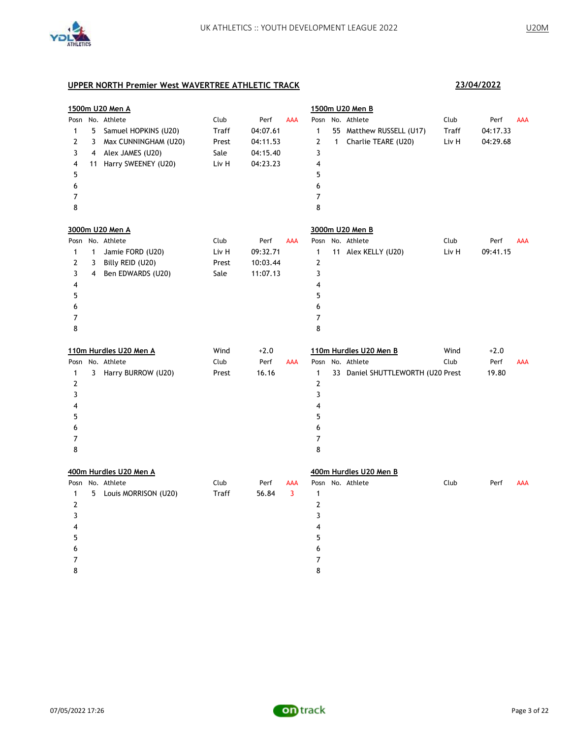

|                |              | 1500m U20 Men A        |              |          |                |                |   | 1500m U20 Men B                   |       |          |            |
|----------------|--------------|------------------------|--------------|----------|----------------|----------------|---|-----------------------------------|-------|----------|------------|
|                |              | Posn No. Athlete       | Club         | Perf     | AAA            |                |   | Posn No. Athlete                  | Club  | Perf     | <b>AAA</b> |
| $\mathbf{1}$   |              | 5 Samuel HOPKINS (U20) | Traff        | 04:07.61 |                | $\mathbf{1}$   |   | 55 Matthew RUSSELL (U17)          | Traff | 04:17.33 |            |
| $\overline{2}$ | 3            | Max CUNNINGHAM (U20)   | Prest        | 04:11.53 |                | $\mathbf{2}$   | 1 | Charlie TEARE (U20)               | Liv H | 04:29.68 |            |
| 3              | 4            | Alex JAMES (U20)       | Sale         | 04:15.40 |                | 3              |   |                                   |       |          |            |
| 4              |              | 11 Harry SWEENEY (U20) | Liv H        | 04:23.23 |                | 4              |   |                                   |       |          |            |
| 5              |              |                        |              |          |                | 5              |   |                                   |       |          |            |
| 6              |              |                        |              |          |                | 6              |   |                                   |       |          |            |
| 7              |              |                        |              |          |                | $\overline{7}$ |   |                                   |       |          |            |
| 8              |              |                        |              |          |                | 8              |   |                                   |       |          |            |
|                |              | 3000m U20 Men A        |              |          |                |                |   | 3000m U20 Men B                   |       |          |            |
|                |              | Posn No. Athlete       | Club         | Perf     | AAA            |                |   | Posn No. Athlete                  | Club  | Perf     | AAA        |
| $\mathbf{1}$   | $\mathbf{1}$ | Jamie FORD (U20)       | Liv H        | 09:32.71 |                | $\mathbf{1}$   |   | 11 Alex KELLY (U20)               | Liv H | 09:41.15 |            |
| 2              | 3            | Billy REID (U20)       | Prest        | 10:03.44 |                | $\mathbf 2$    |   |                                   |       |          |            |
| 3              | 4            | Ben EDWARDS (U20)      | Sale         | 11:07.13 |                | 3              |   |                                   |       |          |            |
| 4              |              |                        |              |          |                | 4              |   |                                   |       |          |            |
| 5              |              |                        |              |          |                | 5              |   |                                   |       |          |            |
| 6              |              |                        |              |          |                | 6              |   |                                   |       |          |            |
| $\overline{7}$ |              |                        |              |          |                | $\overline{7}$ |   |                                   |       |          |            |
| 8              |              |                        |              |          |                | 8              |   |                                   |       |          |            |
|                |              | 110m Hurdles U20 Men A | Wind         | $+2.0$   |                |                |   | 110m Hurdles U20 Men B            | Wind  | $+2.0$   |            |
|                |              | Posn No. Athlete       | Club         | Perf     | AAA            |                |   | Posn No. Athlete                  | Club  | Perf     | AAA        |
| $\mathbf{1}$   |              | 3 Harry BURROW (U20)   | Prest        | 16.16    |                | $\mathbf{1}$   |   | 33 Daniel SHUTTLEWORTH (U20 Prest |       | 19.80    |            |
| $\overline{2}$ |              |                        |              |          |                | $\overline{2}$ |   |                                   |       |          |            |
| 3              |              |                        |              |          |                | 3              |   |                                   |       |          |            |
| 4              |              |                        |              |          |                | 4              |   |                                   |       |          |            |
| 5              |              |                        |              |          |                | 5              |   |                                   |       |          |            |
| 6              |              |                        |              |          |                | 6              |   |                                   |       |          |            |
| $\overline{7}$ |              |                        |              |          |                | 7              |   |                                   |       |          |            |
| 8              |              |                        |              |          |                | 8              |   |                                   |       |          |            |
|                |              | 400m Hurdles U20 Men A |              |          |                |                |   | 400m Hurdles U20 Men B            |       |          |            |
|                |              | Posn No. Athlete       | Club         | Perf     | AAA            |                |   | Posn No. Athlete                  | Club  | Perf     | AAA        |
| $\mathbf{1}$   |              | 5 Louis MORRISON (U20) | <b>Traff</b> | 56.84    | $\overline{3}$ | $\mathbf{1}$   |   |                                   |       |          |            |
| $\overline{2}$ |              |                        |              |          |                | $\overline{2}$ |   |                                   |       |          |            |
| 3              |              |                        |              |          |                | 3              |   |                                   |       |          |            |
| 4              |              |                        |              |          |                | 4              |   |                                   |       |          |            |
| 5              |              |                        |              |          |                | 5              |   |                                   |       |          |            |
| 6              |              |                        |              |          |                | 6              |   |                                   |       |          |            |
| 7              |              |                        |              |          |                | $\overline{7}$ |   |                                   |       |          |            |
| 8              |              |                        |              |          |                | 8              |   |                                   |       |          |            |

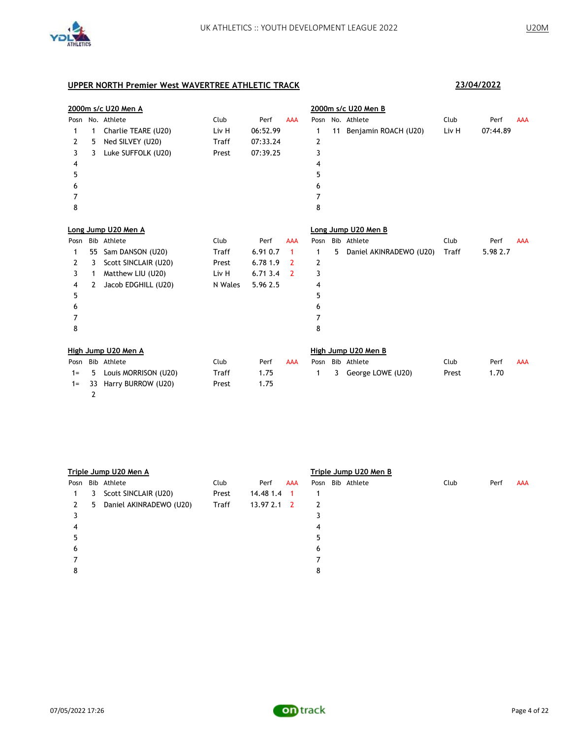

|       | 2000m s/c U20 Men A |                       |              |          |                |      | 2000m s/c U20 Men B |                         |       |          |            |  |  |
|-------|---------------------|-----------------------|--------------|----------|----------------|------|---------------------|-------------------------|-------|----------|------------|--|--|
| Posn  |                     | No. Athlete           | Club         | Perf     | <b>AAA</b>     | Posn |                     | No. Athlete             | Club  | Perf     | <b>AAA</b> |  |  |
| 1     | 1                   | Charlie TEARE (U20)   | Liv H        | 06:52.99 |                | 1    | 11                  | Benjamin ROACH (U20)    | Liv H | 07:44.89 |            |  |  |
| 2     | 5                   | Ned SILVEY (U20)      | <b>Traff</b> | 07:33.24 |                | 2    |                     |                         |       |          |            |  |  |
| 3     | 3                   | Luke SUFFOLK (U20)    | Prest        | 07:39.25 |                | 3    |                     |                         |       |          |            |  |  |
| 4     |                     |                       |              |          |                | 4    |                     |                         |       |          |            |  |  |
| 5     |                     |                       |              |          |                | 5    |                     |                         |       |          |            |  |  |
| 6     |                     |                       |              |          |                | 6    |                     |                         |       |          |            |  |  |
| 7     |                     |                       |              |          |                | 7    |                     |                         |       |          |            |  |  |
| 8     |                     |                       |              |          |                | 8    |                     |                         |       |          |            |  |  |
|       |                     | Long Jump U20 Men A   |              |          |                |      |                     | Long Jump U20 Men B     |       |          |            |  |  |
| Posn  |                     | Bib Athlete           | Club         | Perf     | <b>AAA</b>     | Posn |                     | Bib Athlete             | Club  | Perf     | <b>AAA</b> |  |  |
| 1     | 55                  | Sam DANSON (U20)      | <b>Traff</b> | 6.91 0.7 | $\mathbf{1}$   | 1    | 5                   | Daniel AKINRADEWO (U20) | Traff | 5.98 2.7 |            |  |  |
| 2     | 3                   | Scott SINCLAIR (U20)  | Prest        | 6.78 1.9 | 2              | 2    |                     |                         |       |          |            |  |  |
| 3     | 1                   | Matthew LIU (U20)     | Liv H        | 6.713.4  | $\overline{2}$ | 3    |                     |                         |       |          |            |  |  |
| 4     | 2                   | Jacob EDGHILL (U20)   | N Wales      | 5.96 2.5 |                | 4    |                     |                         |       |          |            |  |  |
| 5     |                     |                       |              |          |                | 5    |                     |                         |       |          |            |  |  |
| 6     |                     |                       |              |          |                | 6    |                     |                         |       |          |            |  |  |
| 7     |                     |                       |              |          |                | 7    |                     |                         |       |          |            |  |  |
| 8     |                     |                       |              |          |                | 8    |                     |                         |       |          |            |  |  |
|       |                     | High Jump U20 Men A   |              |          |                |      |                     | High Jump U20 Men B     |       |          |            |  |  |
| Posn  |                     | Bib Athlete           | Club         | Perf     | <b>AAA</b>     | Posn |                     | Bib Athlete             | Club  | Perf     | <b>AAA</b> |  |  |
| $1 =$ | 5.                  | Louis MORRISON (U20)  | Traff        | 1.75     |                | 1    | 3                   | George LOWE (U20)       | Prest | 1.70     |            |  |  |
| $1 =$ |                     | 33 Harry BURROW (U20) | Prest        | 1.75     |                |      |                     |                         |       |          |            |  |  |

|      |   | Triple Jump U20 Men A   |              |              |     | Triple Jump U20 Men B |      |      |            |  |  |  |  |
|------|---|-------------------------|--------------|--------------|-----|-----------------------|------|------|------------|--|--|--|--|
| Posn |   | Bib Athlete             | Club         | Perf         | AAA | Posn Bib Athlete      | Club | Perf | <b>AAA</b> |  |  |  |  |
| 1.   | 3 | Scott SINCLAIR (U20)    | Prest        | 14.48 1.4    | - 1 |                       |      |      |            |  |  |  |  |
| 2    | 5 | Daniel AKINRADEWO (U20) | <b>Traff</b> | $13.972.1$ 2 |     | 2                     |      |      |            |  |  |  |  |
|      |   |                         |              |              |     |                       |      |      |            |  |  |  |  |
| 4    |   |                         |              |              |     | 4                     |      |      |            |  |  |  |  |
|      |   |                         |              |              |     | ל                     |      |      |            |  |  |  |  |
| 6    |   |                         |              |              |     | 6                     |      |      |            |  |  |  |  |
|      |   |                         |              |              |     |                       |      |      |            |  |  |  |  |
| 8    |   |                         |              |              |     | 8                     |      |      |            |  |  |  |  |
|      |   |                         |              |              |     |                       |      |      |            |  |  |  |  |

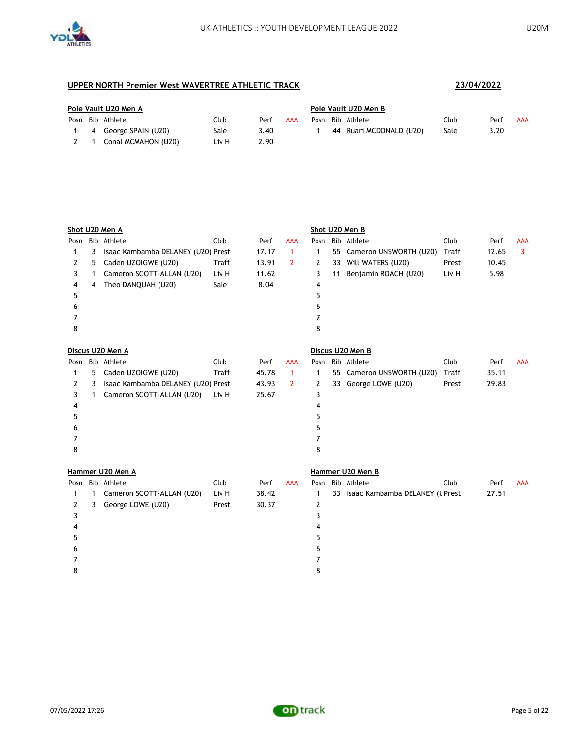

| Pole Vault U20 Men A |                      |       |      |     |      | Pole Vault U20 Men B |                         |      |      |     |  |  |
|----------------------|----------------------|-------|------|-----|------|----------------------|-------------------------|------|------|-----|--|--|
|                      | Posn Bib Athlete     | Club  | Perf | AAA | Posn |                      | Bib Athlete             | Club | Perf | AAA |  |  |
|                      | 4 George SPAIN (U20) | Sale  | 3.40 |     |      |                      | 44 Ruari MCDONALD (U20) | Sale | 3.20 |     |  |  |
|                      | Conal MCMAHON (U20)  | Liv H | 2.90 |     |      |                      |                         |      |      |     |  |  |

|      |              | Shot U20 Men A                     |              |       |                |              |    | Shot U20 Men B                     |       |       |            |
|------|--------------|------------------------------------|--------------|-------|----------------|--------------|----|------------------------------------|-------|-------|------------|
| Posn |              | Bib Athlete                        | Club         | Perf  | AAA            | Posn         |    | Bib Athlete                        | Club  | Perf  | <b>AAA</b> |
| 1    | 3            | Isaac Kambamba DELANEY (U20) Prest |              | 17.17 | $\mathbf{1}$   | 1            | 55 | Cameron UNSWORTH (U20)             | Traff | 12.65 | 3          |
| 2    | 5.           | Caden UZOIGWE (U20)                | <b>Traff</b> | 13.91 | $\overline{2}$ | $\mathbf{2}$ | 33 | Will WATERS (U20)                  | Prest | 10.45 |            |
| 3    | $\mathbf{1}$ | Cameron SCOTT-ALLAN (U20)          | Liv H        | 11.62 |                | 3            | 11 | Benjamin ROACH (U20)               | Liv H | 5.98  |            |
| 4    | 4            | Theo DANQUAH (U20)                 | Sale         | 8.04  |                | 4            |    |                                    |       |       |            |
| 5    |              |                                    |              |       |                | 5            |    |                                    |       |       |            |
| 6    |              |                                    |              |       |                | 6            |    |                                    |       |       |            |
| 7    |              |                                    |              |       |                | 7            |    |                                    |       |       |            |
| 8    |              |                                    |              |       |                | 8            |    |                                    |       |       |            |
|      |              | Discus U20 Men A                   |              |       |                |              |    | Discus U20 Men B                   |       |       |            |
| Posn |              | Bib Athlete                        | Club         | Perf  | <b>AAA</b>     |              |    | Posn Bib Athlete                   | Club  | Perf  | <b>AAA</b> |
| 1    | 5            | Caden UZOIGWE (U20)                | <b>Traff</b> | 45.78 | $\mathbf{1}$   | 1            |    | 55 Cameron UNSWORTH (U20)          | Traff | 35.11 |            |
| 2    | 3            | Isaac Kambamba DELANEY (U20) Prest |              | 43.93 | $\overline{2}$ | 2            |    | 33 George LOWE (U20)               | Prest | 29.83 |            |
| 3    | 1            | Cameron SCOTT-ALLAN (U20)          | Liv H        | 25.67 |                | 3            |    |                                    |       |       |            |
| 4    |              |                                    |              |       |                | 4            |    |                                    |       |       |            |
| 5    |              |                                    |              |       |                | 5            |    |                                    |       |       |            |
| 6    |              |                                    |              |       |                | 6            |    |                                    |       |       |            |
| 7    |              |                                    |              |       |                | 7            |    |                                    |       |       |            |
| 8    |              |                                    |              |       |                | 8            |    |                                    |       |       |            |
|      |              | Hammer U20 Men A                   |              |       |                |              |    | Hammer U20 Men B                   |       |       |            |
|      |              | Posn Bib Athlete                   | Club         | Perf  | <b>AAA</b>     |              |    | Posn Bib Athlete                   | Club  | Perf  | <b>AAA</b> |
| 1    | $\mathbf{1}$ | Cameron SCOTT-ALLAN (U20)          | Liv H        | 38.42 |                | 1            |    | 33 Isaac Kambamba DELANEY (L Prest |       | 27.51 |            |
| 2    | 3            | George LOWE (U20)                  | Prest        | 30.37 |                | 2            |    |                                    |       |       |            |
| 3    |              |                                    |              |       |                | 3            |    |                                    |       |       |            |
| 4    |              |                                    |              |       |                | 4            |    |                                    |       |       |            |
| 5    |              |                                    |              |       |                | 5            |    |                                    |       |       |            |
| 6    |              |                                    |              |       |                | 6            |    |                                    |       |       |            |
| 7    |              |                                    |              |       |                | 7            |    |                                    |       |       |            |
| 8    |              |                                    |              |       |                | 8            |    |                                    |       |       |            |

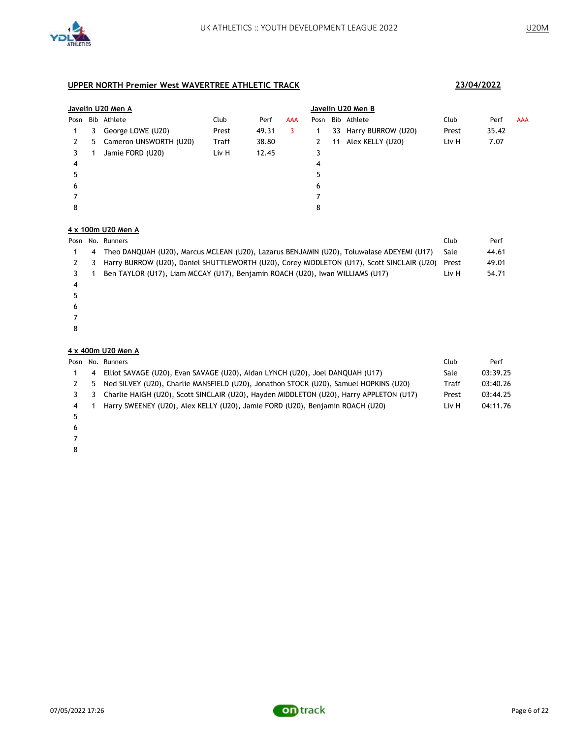

|      | Javelin U20 Men A |                          |       |       |            |      |    | Javelin U20 Men B     |       |       |            |  |  |  |
|------|-------------------|--------------------------|-------|-------|------------|------|----|-----------------------|-------|-------|------------|--|--|--|
| Posn |                   | Bib Athlete              | Club  | Perf  | <b>AAA</b> | Posn |    | Bib Athlete           | Club  | Perf  | <b>AAA</b> |  |  |  |
|      | 3                 | George LOWE (U20)        | Prest | 49.31 | 3          |      |    | 33 Harry BURROW (U20) | Prest | 35.42 |            |  |  |  |
| 2    |                   | 5 Cameron UNSWORTH (U20) | Traff | 38.80 |            | 2    | 11 | Alex KELLY (U20)      | Liv H | 7.07  |            |  |  |  |
|      |                   | Jamie FORD (U20)         | Liv H | 12.45 |            | 3    |    |                       |       |       |            |  |  |  |
| 4    |                   |                          |       |       |            | 4    |    |                       |       |       |            |  |  |  |
|      |                   |                          |       |       |            | 5    |    |                       |       |       |            |  |  |  |
| 6    |                   |                          |       |       |            | 6    |    |                       |       |       |            |  |  |  |
|      |                   |                          |       |       |            |      |    |                       |       |       |            |  |  |  |
| 8    |                   |                          |       |       |            | 8    |    |                       |       |       |            |  |  |  |

### **4 x 100m U20 Men A**

|   | Posn No. Runners                                                                               | Club  | Perf  |
|---|------------------------------------------------------------------------------------------------|-------|-------|
| 4 | Theo DANQUAH (U20), Marcus MCLEAN (U20), Lazarus BENJAMIN (U20), Toluwalase ADEYEMI (U17)      | Sale  | 44.61 |
|   | 2 3 Harry BURROW (U20), Daniel SHUTTLEWORTH (U20), Corey MIDDLETON (U17), Scott SINCLAIR (U20) | Prest | 49.01 |
|   | Ben TAYLOR (U17), Liam MCCAY (U17), Benjamin ROACH (U20), Iwan WILLIAMS (U17)                  | Liv H | 54.71 |
|   |                                                                                                |       |       |
|   |                                                                                                |       |       |

- 
- 
- 

### **4 x 400m U20 Men A**

|   |                | Posn No. Runners                                                                        | Club  | Perf     |
|---|----------------|-----------------------------------------------------------------------------------------|-------|----------|
|   | $\overline{4}$ | Elliot SAVAGE (U20), Evan SAVAGE (U20), Aidan LYNCH (U20), Joel DANQUAH (U17)           | Sale  | 03:39.25 |
|   |                | 5 Ned SILVEY (U20), Charlie MANSFIELD (U20), Jonathon STOCK (U20), Samuel HOPKINS (U20) | Traff | 03:40.26 |
|   | - 3            | Charlie HAIGH (U20), Scott SINCLAIR (U20), Hayden MIDDLETON (U20), Harry APPLETON (U17) | Prest | 03:44.25 |
| 4 |                | Harry SWEENEY (U20), Alex KELLY (U20), Jamie FORD (U20), Benjamin ROACH (U20)           | Liv H | 04:11.76 |
|   |                |                                                                                         |       |          |

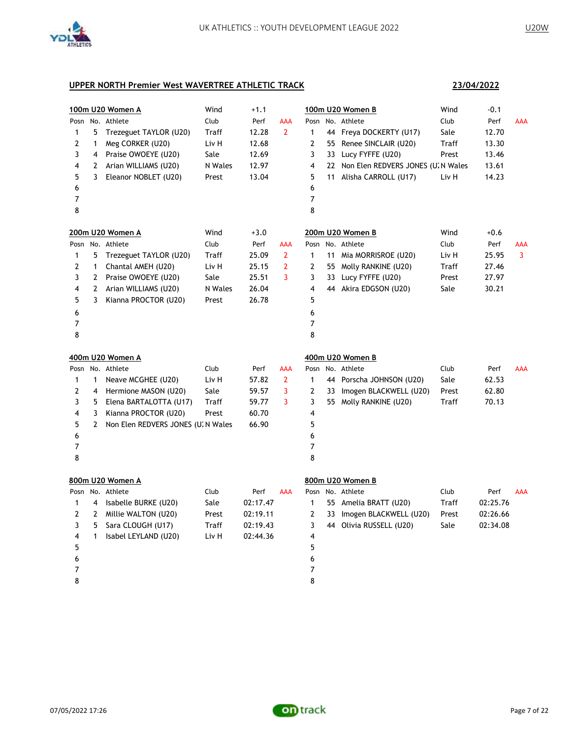

**23/04/2022**

| 1<br>2<br>3<br>4<br>5<br>6<br>7              | 5<br>1<br>4<br>2<br>3                  | 100m U20 Women A<br>Posn No. Athlete<br>Trezeguet TAYLOR (U20)<br>Meg CORKER (U20)<br>Praise OWOEYE (U20)<br>Arian WILLIAMS (U20)<br>Eleanor NOBLET (U20)             | Wind<br>Club<br>Traff<br>Liv H<br>Sale<br>N Wales<br>Prest | $+1.1$<br>Perf<br>12.28<br>12.68<br>12.69<br>12.97<br>13.04 | AAA<br>$\mathbf{2}$                 | 1<br>2<br>3<br>4<br>5<br>6<br>7                           | 11       | 100m U20 Women B<br>Posn No. Athlete<br>44 Freya DOCKERTY (U17)<br>55 Renee SINCLAIR (U20)<br>33 Lucy FYFFE (U20)<br>22 Non Elen REDVERS JONES (U. N Wales<br>Alisha CARROLL (U17) | Wind<br>Club<br>Sale<br>Traff<br>Prest<br>Liv H | $-0.1$<br>Perf<br>12.70<br>13.30<br>13.46<br>13.61<br>14.23 | <b>AAA</b> |
|----------------------------------------------|----------------------------------------|-----------------------------------------------------------------------------------------------------------------------------------------------------------------------|------------------------------------------------------------|-------------------------------------------------------------|-------------------------------------|-----------------------------------------------------------|----------|------------------------------------------------------------------------------------------------------------------------------------------------------------------------------------|-------------------------------------------------|-------------------------------------------------------------|------------|
| 8                                            |                                        | 200m U20 Women A<br>Posn No. Athlete                                                                                                                                  | Wind<br>Club                                               | $+3.0$<br>Perf                                              | AAA                                 | 8                                                         |          | 200m U20 Women B<br>Posn No. Athlete                                                                                                                                               | Wind<br>Club                                    | $+0.6$<br>Perf                                              | AAA        |
| 1<br>2<br>3<br>4<br>5<br>6<br>7              | 5<br>1<br>$\mathbf{2}$<br>2<br>3       | Trezeguet TAYLOR (U20)<br>Chantal AMEH (U20)<br>Praise OWOEYE (U20)<br>Arian WILLIAMS (U20)<br>Kianna PROCTOR (U20)                                                   | Traff<br>Liv H<br>Sale<br>N Wales<br>Prest                 | 25.09<br>25.15<br>25.51<br>26.04<br>26.78                   | $\mathbf{2}$<br>$\overline{2}$<br>3 | $\mathbf{1}$<br>2<br>3<br>4<br>5<br>6<br>7                | 11<br>33 | Mia MORRISROE (U20)<br>55 Molly RANKINE (U20)<br>Lucy FYFFE (U20)<br>44 Akira EDGSON (U20)                                                                                         | Liv H<br>Traff<br>Prest<br>Sale                 | 25.95<br>27.46<br>27.97<br>30.21                            | 3          |
| 8                                            |                                        |                                                                                                                                                                       |                                                            |                                                             |                                     | 8                                                         |          |                                                                                                                                                                                    |                                                 |                                                             |            |
| Posn<br>1<br>2<br>3<br>4<br>5<br>6<br>7<br>8 | 1<br>4<br>5<br>3<br>2                  | 400m U20 Women A<br>No. Athlete<br>Neave MCGHEE (U20)<br>Hermione MASON (U20)<br>Elena BARTALOTTA (U17)<br>Kianna PROCTOR (U20)<br>Non Elen REDVERS JONES (U. N Wales | Club<br>Liv H<br>Sale<br>Traff<br>Prest                    | Perf<br>57.82<br>59.57<br>59.77<br>60.70<br>66.90           | AAA<br>$\mathbf{2}$<br>3<br>3       | Posn<br>1<br>2<br>3<br>4<br>5<br>6<br>$\overline{7}$<br>8 | 44       | 400m U20 Women B<br>No. Athlete<br>Porscha JOHNSON (U20)<br>33 Imogen BLACKWELL (U20)<br>55 Molly RANKINE (U20)                                                                    | Club<br>Sale<br>Prest<br>Traff                  | Perf<br>62.53<br>62.80<br>70.13                             | AAA        |
| 1<br>2<br>3<br>4<br>5<br>6<br>7<br>8         | 4<br>$\mathbf{2}$<br>5<br>$\mathbf{1}$ | 800m U20 Women A<br>Posn No. Athlete<br>Isabelle BURKE (U20)<br>Millie WALTON (U20)<br>Sara CLOUGH (U17)<br>Isabel LEYLAND (U20)                                      | Club<br>Sale<br>Prest<br><b>Traff</b><br>Liv H             | Perf<br>02:17.47<br>02:19.11<br>02:19.43<br>02:44.36        | <b>AAA</b>                          | 1<br>$\mathbf{2}$<br>3<br>4<br>5<br>6<br>7<br>8           | 33       | 800m U20 Women B<br>Posn No. Athlete<br>55 Amelia BRATT (U20)<br>Imogen BLACKWELL (U20)<br>44 Olivia RUSSELL (U20)                                                                 | Club<br>Traff<br>Prest<br>Sale                  | Perf<br>02:25.76<br>02:26.66<br>02:34.08                    | <b>AAA</b> |

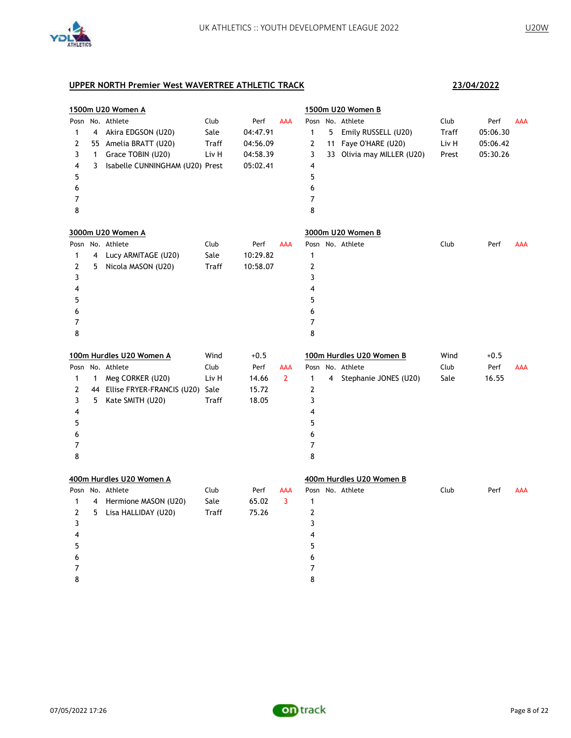

| 1500m U20 Women A |                |                                    |       |          |                | 1500m U20 Women B |   |                            |       |          |            |
|-------------------|----------------|------------------------------------|-------|----------|----------------|-------------------|---|----------------------------|-------|----------|------------|
| Posn              |                | No. Athlete                        | Club  | Perf     | AAA            |                   |   | Posn No. Athlete           | Club  | Perf     | <b>AAA</b> |
| 1                 | $\overline{4}$ | Akira EDGSON (U20)                 | Sale  | 04:47.91 |                | $\mathbf{1}$      | 5 | Emily RUSSELL (U20)        | Traff | 05:06.30 |            |
| 2                 |                | 55 Amelia BRATT (U20)              | Traff | 04:56.09 |                | 2                 |   | 11 Faye O'HARE (U20)       | Liv H | 05:06.42 |            |
| 3                 | $\mathbf{1}$   | Grace TOBIN (U20)                  | Liv H | 04:58.39 |                | 3                 |   | 33 Olivia may MILLER (U20) | Prest | 05:30.26 |            |
| 4                 | 3              | Isabelle CUNNINGHAM (U20) Prest    |       | 05:02.41 |                | 4                 |   |                            |       |          |            |
| 5                 |                |                                    |       |          |                | 5                 |   |                            |       |          |            |
| 6                 |                |                                    |       |          |                | 6                 |   |                            |       |          |            |
| 7                 |                |                                    |       |          |                | $\overline{7}$    |   |                            |       |          |            |
| 8                 |                |                                    |       |          |                | 8                 |   |                            |       |          |            |
|                   |                | 3000m U20 Women A                  |       |          |                |                   |   | 3000m U20 Women B          |       |          |            |
|                   |                | Posn No. Athlete                   | Club  | Perf     | <b>AAA</b>     |                   |   | Posn No. Athlete           | Club  | Perf     | <b>AAA</b> |
| 1                 | 4              | Lucy ARMITAGE (U20)                | Sale  | 10:29.82 |                | $\mathbf{1}$      |   |                            |       |          |            |
| 2                 | 5              | Nicola MASON (U20)                 | Traff | 10:58.07 |                | 2                 |   |                            |       |          |            |
| 3                 |                |                                    |       |          |                | 3                 |   |                            |       |          |            |
| 4                 |                |                                    |       |          |                | 4                 |   |                            |       |          |            |
| 5                 |                |                                    |       |          |                | 5                 |   |                            |       |          |            |
| 6                 |                |                                    |       |          |                | 6                 |   |                            |       |          |            |
| 7                 |                |                                    |       |          |                | 7                 |   |                            |       |          |            |
| 8                 |                |                                    |       |          |                | 8                 |   |                            |       |          |            |
|                   |                | 100m Hurdles U20 Women A           | Wind  | $+0.5$   |                |                   |   | 100m Hurdles U20 Women B   | Wind  | $+0.5$   |            |
|                   |                | Posn No. Athlete                   | Club  | Perf     | AAA            |                   |   | Posn No. Athlete           | Club  | Perf     | <b>AAA</b> |
| 1                 | $\mathbf{1}$   | Meg CORKER (U20)                   | Liv H | 14.66    | $\overline{2}$ | $\mathbf{1}$      |   | 4 Stephanie JONES (U20)    | Sale  | 16.55    |            |
| $\mathbf{Z}$      |                | 44 Ellise FRYER-FRANCIS (U20) Sale |       | 15.72    |                | $\mathbf{Z}$      |   |                            |       |          |            |
| 3                 | 5              | Kate SMITH (U20)                   | Traff | 18.05    |                | 3                 |   |                            |       |          |            |
| 4                 |                |                                    |       |          |                | 4                 |   |                            |       |          |            |
| 5                 |                |                                    |       |          |                | 5                 |   |                            |       |          |            |
| 6                 |                |                                    |       |          |                | 6                 |   |                            |       |          |            |
| 7                 |                |                                    |       |          |                | 7                 |   |                            |       |          |            |
| 8                 |                |                                    |       |          |                | 8                 |   |                            |       |          |            |
|                   |                | 400m Hurdles U20 Women A           |       |          |                |                   |   | 400m Hurdles U20 Women B   |       |          |            |
|                   |                | Posn No. Athlete                   | Club  | Perf     | AAA            |                   |   | Posn No. Athlete           | Club  | Perf     | <b>AAA</b> |
| $\mathbf{1}$      | $\overline{4}$ | Hermione MASON (U20)               | Sale  | 65.02    | 3              | $\mathbf{1}$      |   |                            |       |          |            |
| $\overline{2}$    | 5              | Lisa HALLIDAY (U20)                | Traff | 75.26    |                | 2                 |   |                            |       |          |            |
| 3                 |                |                                    |       |          |                | 3                 |   |                            |       |          |            |
| 4                 |                |                                    |       |          |                | 4                 |   |                            |       |          |            |
| 5                 |                |                                    |       |          |                | 5                 |   |                            |       |          |            |
| 6                 |                |                                    |       |          |                | 6                 |   |                            |       |          |            |
| 7                 |                |                                    |       |          |                | 7                 |   |                            |       |          |            |
| 8                 |                |                                    |       |          |                | 8                 |   |                            |       |          |            |

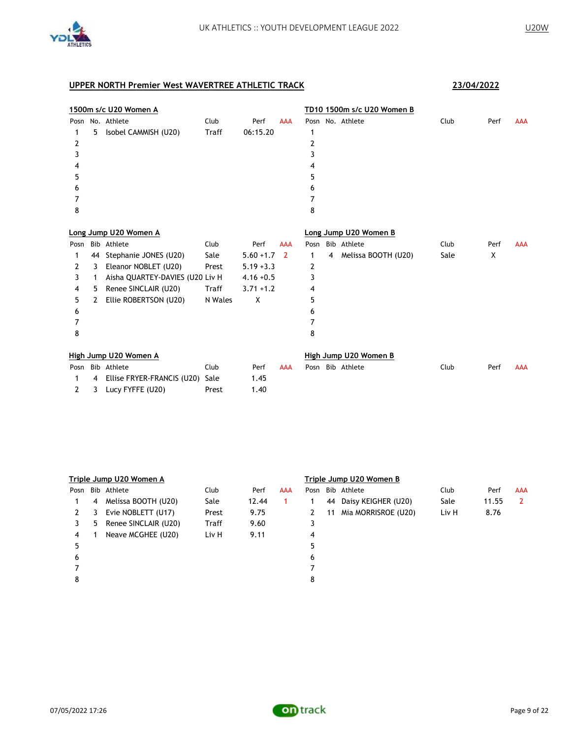

|      | 1500m s/c U20 Women A |                                 |         |              |                |      | TD10 1500m s/c U20 Women B |                       |      |      |            |  |
|------|-----------------------|---------------------------------|---------|--------------|----------------|------|----------------------------|-----------------------|------|------|------------|--|
|      |                       | Posn No. Athlete                | Club    | Perf         | <b>AAA</b>     |      |                            | Posn No. Athlete      | Club | Perf | <b>AAA</b> |  |
| 1    | 5                     | Isobel CAMMISH (U20)            | Traff   | 06:15.20     |                | 1    |                            |                       |      |      |            |  |
| 2    |                       |                                 |         |              |                | 2    |                            |                       |      |      |            |  |
| 3    |                       |                                 |         |              |                | 3    |                            |                       |      |      |            |  |
|      |                       |                                 |         |              |                | 4    |                            |                       |      |      |            |  |
| 5    |                       |                                 |         |              |                | 5    |                            |                       |      |      |            |  |
| 6    |                       |                                 |         |              |                | 6    |                            |                       |      |      |            |  |
| 7    |                       |                                 |         |              |                | 7    |                            |                       |      |      |            |  |
| 8    |                       |                                 |         |              |                | 8    |                            |                       |      |      |            |  |
|      |                       |                                 |         |              |                |      |                            |                       |      |      |            |  |
|      |                       | Long Jump U20 Women A           |         |              |                |      |                            | Long Jump U20 Women B |      |      |            |  |
| Posn |                       | Bib Athlete                     | Club    | Perf         | <b>AAA</b>     | Posn |                            | Bib Athlete           | Club | Perf | <b>AAA</b> |  |
| 1    | 44                    | Stephanie JONES (U20)           | Sale    | $5.60 + 1.7$ | $\overline{2}$ | 1    | 4                          | Melissa BOOTH (U20)   | Sale | X    |            |  |
| 2    | 3                     | Eleanor NOBLET (U20)            | Prest   | $5.19 + 3.3$ |                | 2    |                            |                       |      |      |            |  |
| 3    | 1                     | Aisha QUARTEY-DAVIES (U20 Liv H |         | $4.16 + 0.5$ |                | 3    |                            |                       |      |      |            |  |
| 4    | 5                     | Renee SINCLAIR (U20)            | Traff   | $3.71 + 1.2$ |                | 4    |                            |                       |      |      |            |  |
| 5    | 2                     | Ellie ROBERTSON (U20)           | N Wales | X            |                | 5    |                            |                       |      |      |            |  |
| 6    |                       |                                 |         |              |                | 6    |                            |                       |      |      |            |  |
| 7    |                       |                                 |         |              |                | 7    |                            |                       |      |      |            |  |
| 8    |                       |                                 |         |              |                | 8    |                            |                       |      |      |            |  |
|      |                       | High Jump U20 Women A           |         |              |                |      |                            | High Jump U20 Women B |      |      |            |  |
| Posn |                       | Bib Athlete                     | Club    | Perf         | <b>AAA</b>     | Posn |                            | Bib Athlete           | Club | Perf | <b>AAA</b> |  |
| 1    | 4                     | Ellise FRYER-FRANCIS (U20)      | Sale    | 1.45         |                |      |                            |                       |      |      |            |  |
| 2    | 3                     | Lucy FYFFE (U20)                | Prest   | 1.40         |                |      |                            |                       |      |      |            |  |

|      | Triple Jump U20 Women A |                      |              |       |     | Triple Jump U20 Women B |    |                     |       |       |            |  |  |
|------|-------------------------|----------------------|--------------|-------|-----|-------------------------|----|---------------------|-------|-------|------------|--|--|
| Posn |                         | Bib Athlete          | Club         | Perf  | AAA | Posn                    |    | Bib Athlete         | Club  | Perf  | <b>AAA</b> |  |  |
|      | 4                       | Melissa BOOTH (U20)  | Sale         | 12.44 | 1.  |                         | 44 | Daisy KEIGHER (U20) | Sale  | 11.55 | 2          |  |  |
| 2    | 3                       | Evie NOBLETT (U17)   | Prest        | 9.75  |     | 2                       | 11 | Mia MORRISROE (U20) | Liv H | 8.76  |            |  |  |
| 3    | 5                       | Renee SINCLAIR (U20) | <b>Traff</b> | 9.60  |     | 3                       |    |                     |       |       |            |  |  |
| 4    |                         | Neave MCGHEE (U20)   | Liv H        | 9.11  |     | 4                       |    |                     |       |       |            |  |  |
| 5    |                         |                      |              |       |     |                         |    |                     |       |       |            |  |  |
| 6    |                         |                      |              |       |     | 6                       |    |                     |       |       |            |  |  |
|      |                         |                      |              |       |     |                         |    |                     |       |       |            |  |  |
| 8    |                         |                      |              |       |     | 8                       |    |                     |       |       |            |  |  |
|      |                         |                      |              |       |     |                         |    |                     |       |       |            |  |  |

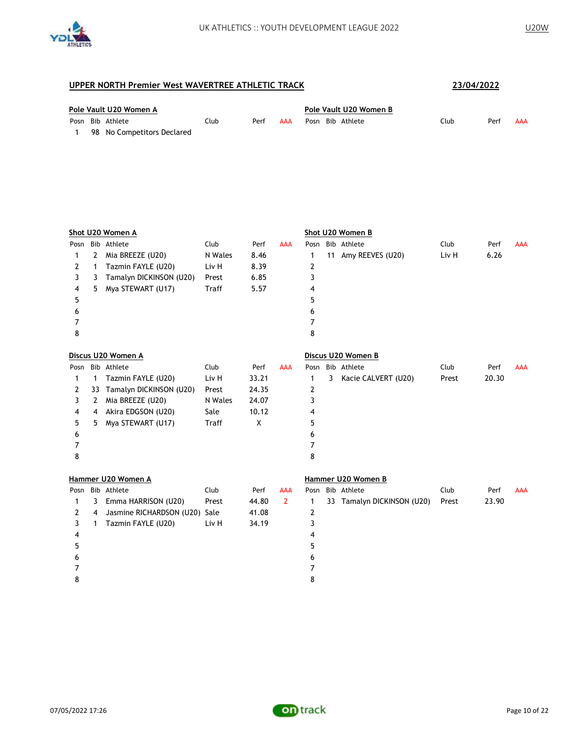

|  | Pole Vault U20 Women A     |      |      |            | Pole Vault U20 Women B |      |      |     |  |  |  |  |
|--|----------------------------|------|------|------------|------------------------|------|------|-----|--|--|--|--|
|  | Posn Bib Athlete           | Club | Perf | <b>AAA</b> | Posn Bib Athlete       | Club | Perf | AAA |  |  |  |  |
|  | 98 No Competitors Declared |      |      |            |                        |      |      |     |  |  |  |  |

|      |              | Shot U20 Women A              |         |       |                |      |   | Shot U20 Women B           |       |       |            |
|------|--------------|-------------------------------|---------|-------|----------------|------|---|----------------------------|-------|-------|------------|
| Posn |              | Bib Athlete                   | Club    | Perf  | <b>AAA</b>     |      |   | Posn Bib Athlete           | Club  | Perf  | <b>AAA</b> |
| 1    | 2            | Mia BREEZE (U20)              | N Wales | 8.46  |                | 1    |   | 11 Amy REEVES (U20)        | Liv H | 6.26  |            |
| 2    | 1            | Tazmin FAYLE (U20)            | Liv H   | 8.39  |                | 2    |   |                            |       |       |            |
| 3    | 3            | Tamalyn DICKINSON (U20)       | Prest   | 6.85  |                | 3    |   |                            |       |       |            |
| 4    | 5            | Mya STEWART (U17)             | Traff   | 5.57  |                | 4    |   |                            |       |       |            |
| 5    |              |                               |         |       |                | 5    |   |                            |       |       |            |
| 6    |              |                               |         |       |                | 6    |   |                            |       |       |            |
| 7    |              |                               |         |       |                | 7    |   |                            |       |       |            |
| 8    |              |                               |         |       |                | 8    |   |                            |       |       |            |
|      |              | Discus U20 Women A            |         |       |                |      |   | Discus U20 Women B         |       |       |            |
|      |              | Posn Bib Athlete              | Club    | Perf  | <b>AAA</b>     |      |   | Posn Bib Athlete           | Club  | Perf  | <b>AAA</b> |
| 1    | 1            | Tazmin FAYLE (U20)            | Liv H   | 33.21 |                | 1    | 3 | Kacie CALVERT (U20)        | Prest | 20.30 |            |
| 2    | 33           | Tamalyn DICKINSON (U20)       | Prest   | 24.35 |                | 2    |   |                            |       |       |            |
| 3    | 2            | Mia BREEZE (U20)              | N Wales | 24.07 |                | 3    |   |                            |       |       |            |
| 4    | 4            | Akira EDGSON (U20)            | Sale    | 10.12 |                | 4    |   |                            |       |       |            |
| 5    | 5            | Mya STEWART (U17)             | Traff   | X     |                | 5    |   |                            |       |       |            |
| 6    |              |                               |         |       |                | 6    |   |                            |       |       |            |
| 7    |              |                               |         |       |                | 7    |   |                            |       |       |            |
| 8    |              |                               |         |       |                | 8    |   |                            |       |       |            |
|      |              | Hammer U20 Women A            |         |       |                |      |   | Hammer U20 Women B         |       |       |            |
| Posn |              | Bib Athlete                   | Club    | Perf  | <b>AAA</b>     | Posn |   | Bib Athlete                | Club  | Perf  | <b>AAA</b> |
| 1    | 3            | Emma HARRISON (U20)           | Prest   | 44.80 | $\overline{2}$ | 1    |   | 33 Tamalyn DICKINSON (U20) | Prest | 23.90 |            |
| 2    | 4            | Jasmine RICHARDSON (U20) Sale |         | 41.08 |                | 2    |   |                            |       |       |            |
| 3    | $\mathbf{1}$ | Tazmin FAYLE (U20)            | Liv H   | 34.19 |                | 3    |   |                            |       |       |            |
| 4    |              |                               |         |       |                | 4    |   |                            |       |       |            |
| 5    |              |                               |         |       |                | 5    |   |                            |       |       |            |
| 6    |              |                               |         |       |                | 6    |   |                            |       |       |            |
| 7    |              |                               |         |       |                | 7    |   |                            |       |       |            |
| 8    |              |                               |         |       |                | 8    |   |                            |       |       |            |

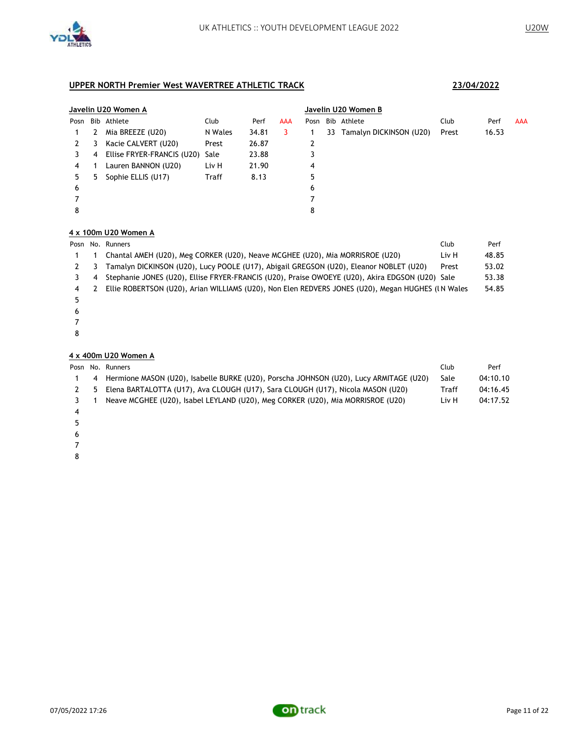

### **Javelin U20 Women A Javelin U20 Women B** Posn Bib Athlete Club Perf AAA Posn Bib Athlete Club Perf AAA 2 Mia BREEZE (U20) N Wales 34.81 3 1 33 Tamalyn DICKINSON (U20) Prest 16.53 2 3 Kacie CALVERT (U20) Prest 26.87 2 4 Ellise FRYER-FRANCIS (U20) Sale 23.88 3 1 Lauren BANNON (U20) Liv H 21.90 4 5 Sophie ELLIS (U17) Traff 8.13 5 7 8

### **4 x 100m U20 Women A**

|   |   | Club<br>Posn No. Runners                                                                          | Perf  |
|---|---|---------------------------------------------------------------------------------------------------|-------|
|   |   | Chantal AMEH (U20), Meg CORKER (U20), Neave MCGHEE (U20), Mia MORRISROE (U20)<br>Liv H            | 48.85 |
|   |   | Tamalyn DICKINSON (U20), Lucy POOLE (U17), Abigail GREGSON (U20), Eleanor NOBLET (U20)<br>Prest   | 53.02 |
|   | 4 | Stephanie JONES (U20), Ellise FRYER-FRANCIS (U20), Praise OWOEYE (U20), Akira EDGSON (U20) Sale   | 53.38 |
| 4 |   | Ellie ROBERTSON (U20), Arian WILLIAMS (U20), Non Elen REDVERS JONES (U20), Megan HUGHES (IN Wales | 54.85 |
|   |   |                                                                                                   |       |
| 6 |   |                                                                                                   |       |
|   |   |                                                                                                   |       |

#### **4 x 400m U20 Women A**

|             | Posn No. Runners                                                                       | Club  | Perf     |
|-------------|----------------------------------------------------------------------------------------|-------|----------|
| -4          | Hermione MASON (U20), Isabelle BURKE (U20), Porscha JOHNSON (U20), Lucy ARMITAGE (U20) | Sale  | 04:10.10 |
| $2 \quad 5$ | Elena BARTALOTTA (U17), Ava CLOUGH (U17), Sara CLOUGH (U17), Nicola MASON (U20)        | Traff | 04:16.45 |
|             | Neave MCGHEE (U20), Isabel LEYLAND (U20), Meg CORKER (U20), Mia MORRISROE (U20)        | Liv H | 04:17.52 |
|             |                                                                                        |       |          |
|             |                                                                                        |       |          |

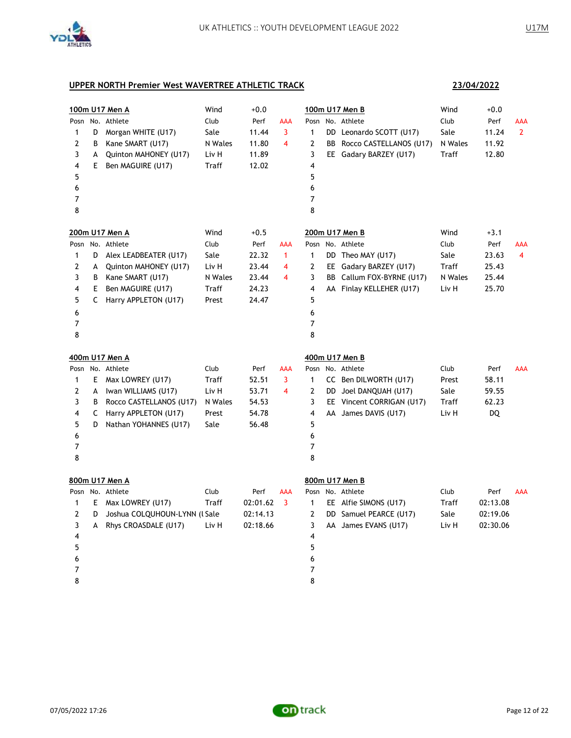

**23/04/2022**

| $\mathbf{1}$<br>2<br>3<br>4<br>5<br>6<br>7<br>8              | D<br>B<br>А<br>E      | 100m U17 Men A<br>Posn No. Athlete<br>Morgan WHITE (U17)<br>Kane SMART (U17)<br>Quinton MAHONEY (U17)<br>Ben MAGUIRE (U17)                                | Wind<br>Club<br>Sale<br>N Wales<br>Liv H<br>Traff          | $+0.0$<br>Perf<br>11.44<br>11.80<br>11.89<br>12.02          | AAA<br>3<br>4                 | Posn<br>$\mathbf{1}$<br>2<br>3<br>$\overline{4}$<br>5<br>6<br>7<br>8 | 100m U17 Men B<br>No. Athlete<br>DD Leonardo SCOTT (U17)<br>BB Rocco CASTELLANOS (U17)<br>EE Gadary BARZEY (U17)                      | Wind<br>Club<br>Sale<br>N Wales<br>Traff          | $+0.0$<br>Perf<br>11.24<br>11.92<br>12.80          | AAA<br>$\mathbf{2}$   |
|--------------------------------------------------------------|-----------------------|-----------------------------------------------------------------------------------------------------------------------------------------------------------|------------------------------------------------------------|-------------------------------------------------------------|-------------------------------|----------------------------------------------------------------------|---------------------------------------------------------------------------------------------------------------------------------------|---------------------------------------------------|----------------------------------------------------|-----------------------|
| $\mathbf{1}$<br>2<br>3<br>4<br>5<br>6<br>$\overline{7}$<br>8 | D<br>A<br>B<br>Е<br>C | 200m U17 Men A<br>Posn No. Athlete<br>Alex LEADBEATER (U17)<br>Quinton MAHONEY (U17)<br>Kane SMART (U17)<br>Ben MAGUIRE (U17)<br>Harry APPLETON (U17)     | Wind<br>Club<br>Sale<br>Liv H<br>N Wales<br>Traff<br>Prest | $+0.5$<br>Perf<br>22.32<br>23.44<br>23.44<br>24.23<br>24.47 | AAA<br>$\mathbf{1}$<br>4<br>4 | Posn<br>$\mathbf{1}$<br>2<br>3<br>4<br>5<br>6<br>7<br>8              | 200m U17 Men B<br>No. Athlete<br>DD Theo MAY (U17)<br>EE Gadary BARZEY (U17)<br>BB Callum FOX-BYRNE (U17)<br>AA Finlay KELLEHER (U17) | Wind<br>Club<br>Sale<br>Traff<br>N Wales<br>Liv H | $+3.1$<br>Perf<br>23.63<br>25.43<br>25.44<br>25.70 | AAA<br>$\overline{4}$ |
| $\mathbf{1}$<br>2<br>3<br>4<br>5<br>6<br>7<br>8              | E<br>A<br>В<br>C<br>D | 400m U17 Men A<br>Posn No. Athlete<br>Max LOWREY (U17)<br>Iwan WILLIAMS (U17)<br>Rocco CASTELLANOS (U17)<br>Harry APPLETON (U17)<br>Nathan YOHANNES (U17) | Club<br>Traff<br>Liv H<br>N Wales<br>Prest<br>Sale         | Perf<br>52.51<br>53.71<br>54.53<br>54.78<br>56.48           | <b>AAA</b><br>3<br>4          | Posn<br>$\mathbf{1}$<br>2<br>3<br>$\overline{4}$<br>5<br>6<br>7<br>8 | 400m U17 Men B<br>No. Athlete<br>CC Ben DILWORTH (U17)<br>DD Joel DANQUAH (U17)<br>EE Vincent CORRIGAN (U17)<br>AA James DAVIS (U17)  | Club<br>Prest<br>Sale<br>Traff<br>Liv H           | Perf<br>58.11<br>59.55<br>62.23<br>DQ              | <b>AAA</b>            |
| $\mathbf{1}$<br>$\overline{2}$<br>3<br>4<br>5<br>6<br>7<br>8 | E<br>D<br>A           | 800m U17 Men A<br>Posn No. Athlete<br>Max LOWREY (U17)<br>Joshua COLQUHOUN-LYNN (LSale<br>Rhys CROASDALE (U17)                                            | Club<br><b>Traff</b><br>Liv H                              | Perf<br>02:01.62<br>02:14.13<br>02:18.66                    | <b>AAA</b><br>3               | $\mathbf{1}$<br>2<br>3<br>4<br>5<br>6<br>7<br>8                      | 800m U17 Men B<br>Posn No. Athlete<br>EE Alfie SIMONS (U17)<br>DD Samuel PEARCE (U17)<br>AA James EVANS (U17)                         | Club<br>Traff<br>Sale<br>Liv H                    | Perf<br>02:13.08<br>02:19.06<br>02:30.06           | AAA                   |

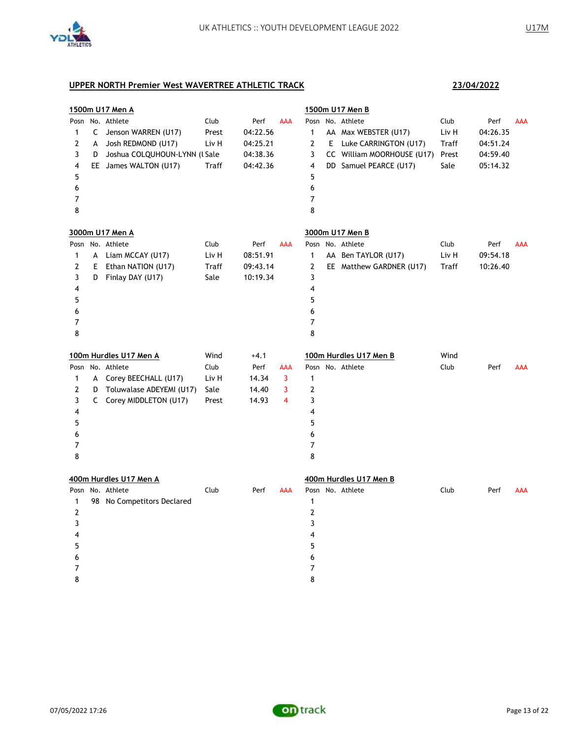

| 1500m U17 Men A  |    |                               |       |          | 1500m U17 Men B |                |  |                            |       |          |            |
|------------------|----|-------------------------------|-------|----------|-----------------|----------------|--|----------------------------|-------|----------|------------|
| Posn             |    | No. Athlete                   | Club  | Perf     | <b>AAA</b>      | Posn           |  | No. Athlete                | Club  | Perf     | <b>AAA</b> |
| 1                | C  | Jenson WARREN (U17)           | Prest | 04:22.56 |                 | 1              |  | AA Max WEBSTER (U17)       | Liv H | 04:26.35 |            |
| 2                | А  | Josh REDMOND (U17)            | Liv H | 04:25.21 |                 | 2              |  | E Luke CARRINGTON (U17)    | Traff | 04:51.24 |            |
| 3                | D  | Joshua COLQUHOUN-LYNN (l Sale |       | 04:38.36 |                 | 3              |  | CC William MOORHOUSE (U17) | Prest | 04:59.40 |            |
| 4                |    | EE James WALTON (U17)         | Traff | 04:42.36 |                 | $\overline{4}$ |  | DD Samuel PEARCE (U17)     | Sale  | 05:14.32 |            |
| 5                |    |                               |       |          |                 | 5              |  |                            |       |          |            |
| 6                |    |                               |       |          |                 | 6              |  |                            |       |          |            |
| $\boldsymbol{7}$ |    |                               |       |          |                 | 7              |  |                            |       |          |            |
| 8                |    |                               |       |          |                 | 8              |  |                            |       |          |            |
|                  |    | 3000m U17 Men A               |       |          |                 |                |  | 3000m U17 Men B            |       |          |            |
|                  |    | Posn No. Athlete              | Club  | Perf     | <b>AAA</b>      |                |  | Posn No. Athlete           | Club  | Perf     | AAA        |
| 1                | A  | Liam MCCAY (U17)              | Liv H | 08:51.91 |                 | 1              |  | AA Ben TAYLOR (U17)        | Liv H | 09:54.18 |            |
| 2                | E. | Ethan NATION (U17)            | Traff | 09:43.14 |                 | 2              |  | EE Matthew GARDNER (U17)   | Traff | 10:26.40 |            |
| 3                | D  | Finlay DAY (U17)              | Sale  | 10:19.34 |                 | 3              |  |                            |       |          |            |
| 4                |    |                               |       |          |                 | 4              |  |                            |       |          |            |
| 5                |    |                               |       |          |                 | 5              |  |                            |       |          |            |
| 6                |    |                               |       |          |                 | 6              |  |                            |       |          |            |
| $\overline{7}$   |    |                               |       |          |                 | 7              |  |                            |       |          |            |
| 8                |    |                               |       |          |                 | 8              |  |                            |       |          |            |
|                  |    | 100m Hurdles U17 Men A        | Wind  | $+4.1$   |                 |                |  | 100m Hurdles U17 Men B     | Wind  |          |            |
| Posn             |    | No. Athlete                   | Club  | Perf     | AAA             |                |  | Posn No. Athlete           | Club  | Perf     | AAA        |
| 1                |    | A Corey BEECHALL (U17)        | Liv H | 14.34    | 3               | 1              |  |                            |       |          |            |
| 2                | D  | Toluwalase ADEYEMI (U17)      | Sale  | 14.40    | 3               | $\mathbf{2}$   |  |                            |       |          |            |
| 3                | C  | Corey MIDDLETON (U17)         | Prest | 14.93    | 4               | 3              |  |                            |       |          |            |
| 4                |    |                               |       |          |                 | 4              |  |                            |       |          |            |
| 5                |    |                               |       |          |                 | 5              |  |                            |       |          |            |
| 6                |    |                               |       |          |                 | 6              |  |                            |       |          |            |
| 7                |    |                               |       |          |                 | 7              |  |                            |       |          |            |
| 8                |    |                               |       |          |                 | 8              |  |                            |       |          |            |
|                  |    | 400m Hurdles U17 Men A        |       |          |                 |                |  | 400m Hurdles U17 Men B     |       |          |            |
| Posn             |    | No. Athlete                   | Club  | Perf     | AAA             |                |  | Posn No. Athlete           | Club  | Perf     | AAA        |
| 1                |    | 98 No Competitors Declared    |       |          |                 | $\mathbf{1}$   |  |                            |       |          |            |
| 2                |    |                               |       |          |                 | $\mathbf 2$    |  |                            |       |          |            |
| 3                |    |                               |       |          |                 | 3              |  |                            |       |          |            |
| 4                |    |                               |       |          |                 | 4              |  |                            |       |          |            |
| 5                |    |                               |       |          |                 | 5              |  |                            |       |          |            |
| 6                |    |                               |       |          |                 | 6              |  |                            |       |          |            |
| 7                |    |                               |       |          |                 | 7              |  |                            |       |          |            |
| 8                |    |                               |       |          |                 | 8              |  |                            |       |          |            |

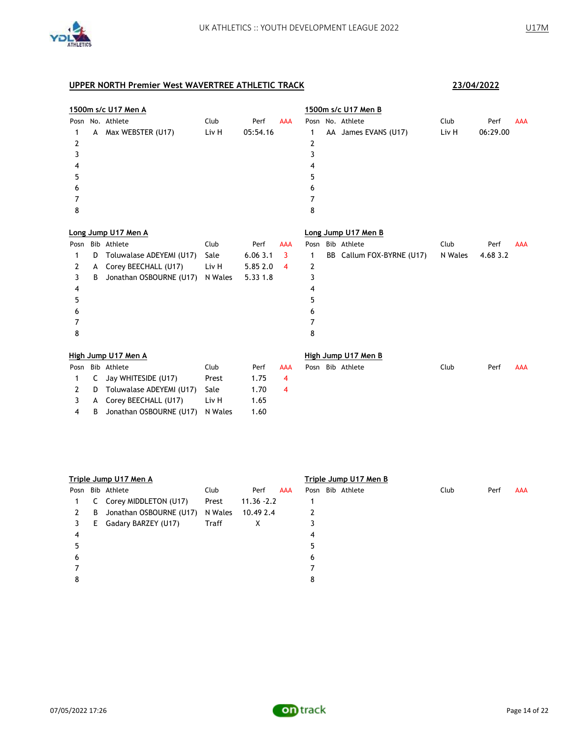

4 B Jonathan OSBOURNE (U17) N Wales 1.60

|      | 1500m s/c U17 Men A |                          |         |          |            |      | 1500m s/c U17 Men B |                        |         |          |            |  |
|------|---------------------|--------------------------|---------|----------|------------|------|---------------------|------------------------|---------|----------|------------|--|
| Posn |                     | No. Athlete              | Club    | Perf     | <b>AAA</b> |      |                     | Posn No. Athlete       | Club    | Perf     | <b>AAA</b> |  |
| 1    | А                   | Max WEBSTER (U17)        | Liv H   | 05:54.16 |            | 1    |                     | AA James EVANS (U17)   | Liv H   | 06:29.00 |            |  |
| 2    |                     |                          |         |          |            | 2    |                     |                        |         |          |            |  |
| 3    |                     |                          |         |          |            | 3    |                     |                        |         |          |            |  |
| 4    |                     |                          |         |          |            | 4    |                     |                        |         |          |            |  |
| 5    |                     |                          |         |          |            | 5    |                     |                        |         |          |            |  |
| 6    |                     |                          |         |          |            | 6    |                     |                        |         |          |            |  |
| 7    |                     |                          |         |          |            | 7    |                     |                        |         |          |            |  |
| 8    |                     |                          |         |          |            | 8    |                     |                        |         |          |            |  |
|      |                     | Long Jump U17 Men A      |         |          |            |      |                     | Long Jump U17 Men B    |         |          |            |  |
| Posn |                     | Bib Athlete              | Club    | Perf     | <b>AAA</b> | Posn |                     | Bib Athlete            | Club    | Perf     | <b>AAA</b> |  |
| 1    | D                   | Toluwalase ADEYEMI (U17) | Sale    | 6.063.1  | 3          | 1    | BB                  | Callum FOX-BYRNE (U17) | N Wales | 4.68 3.2 |            |  |
| 2    | А                   | Corey BEECHALL (U17)     | Liv H   | 5.85 2.0 | 4          | 2    |                     |                        |         |          |            |  |
| 3    | В                   | Jonathan OSBOURNE (U17)  | N Wales | 5.33 1.8 |            | 3    |                     |                        |         |          |            |  |
| 4    |                     |                          |         |          |            | 4    |                     |                        |         |          |            |  |
| 5    |                     |                          |         |          |            | 5    |                     |                        |         |          |            |  |
| 6    |                     |                          |         |          |            | 6    |                     |                        |         |          |            |  |
| 7    |                     |                          |         |          |            | 7    |                     |                        |         |          |            |  |
| 8    |                     |                          |         |          |            | 8    |                     |                        |         |          |            |  |
|      |                     | High Jump U17 Men A      |         |          |            |      |                     | High Jump U17 Men B    |         |          |            |  |
| Posn |                     | Bib Athlete              | Club    | Perf     | <b>AAA</b> |      |                     | Posn Bib Athlete       | Club    | Perf     | <b>AAA</b> |  |
| 1    | C                   | Jay WHITESIDE (U17)      | Prest   | 1.75     | 4          |      |                     |                        |         |          |            |  |
| 2    | D                   | Toluwalase ADEYEMI (U17) | Sale    | 1.70     | 4          |      |                     |                        |         |          |            |  |
| 3    | А                   | Corey BEECHALL (U17)     | Liv H   | 1.65     |            |      |                     |                        |         |          |            |  |

|      | Triple Jump U17 Men A |                         |         |               |            |   | Triple Jump U17 Men B |      |      |     |  |  |  |
|------|-----------------------|-------------------------|---------|---------------|------------|---|-----------------------|------|------|-----|--|--|--|
| Posn |                       | Bib Athlete             | Club    | Perf          | <b>AAA</b> |   | Posn Bib Athlete      | Club | Perf | AAA |  |  |  |
|      |                       | C Corey MIDDLETON (U17) | Prest   | $11.36 - 2.2$ |            |   |                       |      |      |     |  |  |  |
| 2    | B                     | Jonathan OSBOURNE (U17) | N Wales | 10.49 2.4     |            |   |                       |      |      |     |  |  |  |
| 3    | E.                    | Gadary BARZEY (U17)     | Traff   | Χ             |            |   |                       |      |      |     |  |  |  |
| 4    |                       |                         |         |               |            | 4 |                       |      |      |     |  |  |  |
|      |                       |                         |         |               |            | 5 |                       |      |      |     |  |  |  |
| 6    |                       |                         |         |               |            | 6 |                       |      |      |     |  |  |  |
|      |                       |                         |         |               |            |   |                       |      |      |     |  |  |  |
| 8    |                       |                         |         |               |            | 8 |                       |      |      |     |  |  |  |

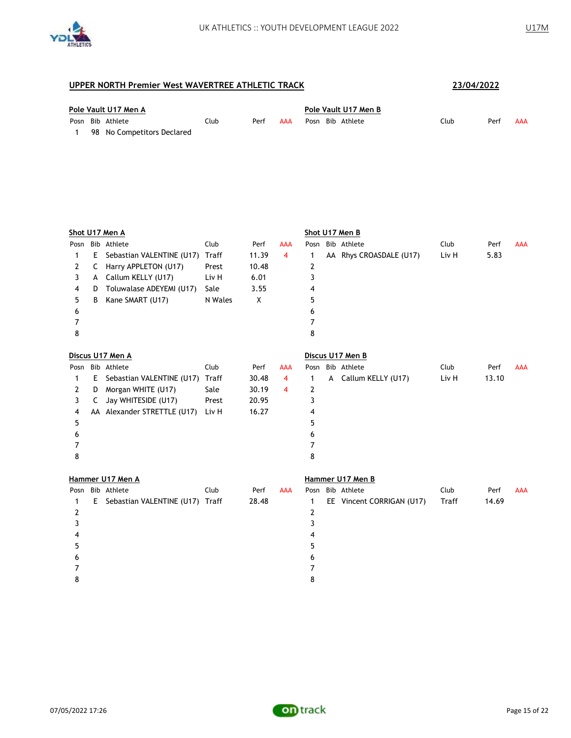

| Pole Vault U17 Men A |  |                              |      |      | Pole Vault U17 Men B |                  |  |      |      |     |  |
|----------------------|--|------------------------------|------|------|----------------------|------------------|--|------|------|-----|--|
|                      |  | Posn Bib Athlete             | Club | Perf | AAA                  | Posn Bib Athlete |  | Club | Perf | AAA |  |
|                      |  | 1 98 No Competitors Declared |      |      |                      |                  |  |      |      |     |  |

|   |    | Shot U17 Men A                  |         |       |            |   | Shot U17 Men B            |       |       |            |
|---|----|---------------------------------|---------|-------|------------|---|---------------------------|-------|-------|------------|
|   |    | Posn Bib Athlete                | Club    | Perf  | AAA        |   | Posn Bib Athlete          | Club  | Perf  | <b>AAA</b> |
| 1 | E  | Sebastian VALENTINE (U17)       | Traff   | 11.39 | 4          | 1 | AA Rhys CROASDALE (U17)   | Liv H | 5.83  |            |
| 2 | C  | Harry APPLETON (U17)            | Prest   | 10.48 |            | 2 |                           |       |       |            |
| 3 | A  | Callum KELLY (U17)              | Liv H   | 6.01  |            | 3 |                           |       |       |            |
| 4 | D  | Toluwalase ADEYEMI (U17)        | Sale    | 3.55  |            | 4 |                           |       |       |            |
| 5 | В  | Kane SMART (U17)                | N Wales | X     |            | 5 |                           |       |       |            |
| 6 |    |                                 |         |       |            | 6 |                           |       |       |            |
| 7 |    |                                 |         |       |            | 7 |                           |       |       |            |
| 8 |    |                                 |         |       |            | 8 |                           |       |       |            |
|   |    | Discus U17 Men A                |         |       |            |   | Discus U17 Men B          |       |       |            |
|   |    | Posn Bib Athlete                | Club    | Perf  | <b>AAA</b> |   | Posn Bib Athlete          | Club  | Perf  | AAA        |
| 1 | E. | Sebastian VALENTINE (U17)       | Traff   | 30.48 | 4          | 1 | A Callum KELLY (U17)      | Liv H | 13.10 |            |
| 2 | D  | Morgan WHITE (U17)              | Sale    | 30.19 | 4          | 2 |                           |       |       |            |
| 3 | C  | Jay WHITESIDE (U17)             | Prest   | 20.95 |            | 3 |                           |       |       |            |
| 4 |    | AA Alexander STRETTLE (U17)     | Liv H   | 16.27 |            | 4 |                           |       |       |            |
| 5 |    |                                 |         |       |            | 5 |                           |       |       |            |
| 6 |    |                                 |         |       |            | 6 |                           |       |       |            |
| 7 |    |                                 |         |       |            | 7 |                           |       |       |            |
| 8 |    |                                 |         |       |            | 8 |                           |       |       |            |
|   |    | Hammer U17 Men A                |         |       |            |   | Hammer U17 Men B          |       |       |            |
|   |    | Posn Bib Athlete                | Club    | Perf  | <b>AAA</b> |   | Posn Bib Athlete          | Club  | Perf  | <b>AAA</b> |
| 1 | E. | Sebastian VALENTINE (U17) Traff |         | 28.48 |            | 1 | EE Vincent CORRIGAN (U17) | Traff | 14.69 |            |
| 2 |    |                                 |         |       |            | 2 |                           |       |       |            |
| 3 |    |                                 |         |       |            | 3 |                           |       |       |            |
| 4 |    |                                 |         |       |            | 4 |                           |       |       |            |
| 5 |    |                                 |         |       |            | 5 |                           |       |       |            |
| 6 |    |                                 |         |       |            | 6 |                           |       |       |            |
| 7 |    |                                 |         |       |            | 7 |                           |       |       |            |
| 8 |    |                                 |         |       |            | 8 |                           |       |       |            |
|   |    |                                 |         |       |            |   |                           |       |       |            |

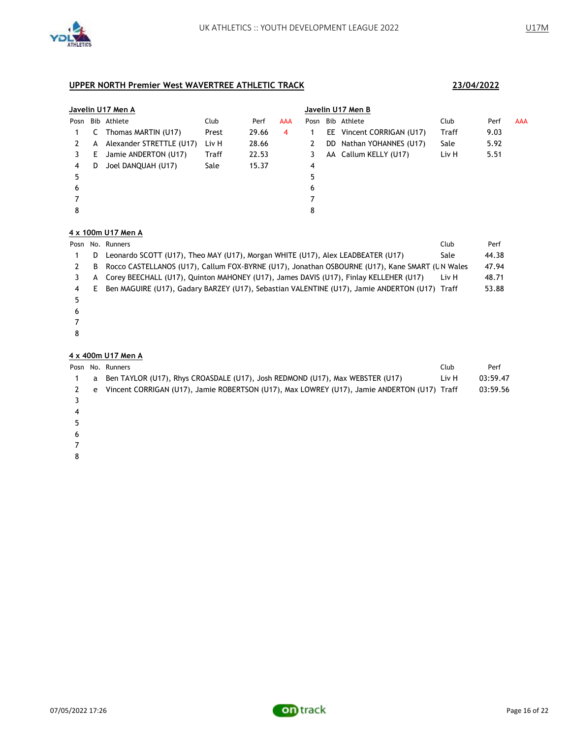

|      | Javelin U17 Men A |                          |       |       |     |      |  | Javelin U17 Men B         |       |      |            |  |  |  |
|------|-------------------|--------------------------|-------|-------|-----|------|--|---------------------------|-------|------|------------|--|--|--|
| Posn |                   | Bib Athlete              | Club  | Perf  | AAA | Posn |  | Bib Athlete               | Club  | Perf | <b>AAA</b> |  |  |  |
|      |                   | Thomas MARTIN (U17)      | Prest | 29.66 | 4   |      |  | EE Vincent CORRIGAN (U17) | Traff | 9.03 |            |  |  |  |
|      | A                 | Alexander STRETTLE (U17) | Liv H | 28.66 |     | 2    |  | DD Nathan YOHANNES (U17)  | Sale  | 5.92 |            |  |  |  |
|      | E.                | Jamie ANDERTON (U17)     | Traff | 22.53 |     | 3    |  | AA Callum KELLY (U17)     | Liv H | 5.51 |            |  |  |  |
| 4    | D                 | Joel DANQUAH (U17)       | Sale  | 15.37 |     | 4    |  |                           |       |      |            |  |  |  |
| 5    |                   |                          |       |       |     | 5    |  |                           |       |      |            |  |  |  |
| 6    |                   |                          |       |       |     | 6    |  |                           |       |      |            |  |  |  |
|      |                   |                          |       |       |     |      |  |                           |       |      |            |  |  |  |
| 8    |                   |                          |       |       |     | 8    |  |                           |       |      |            |  |  |  |

# **4 x 100m U17 Men A**

|   |   | Club<br>Posn No. Runners                                                                        |       | Perf  |
|---|---|-------------------------------------------------------------------------------------------------|-------|-------|
|   | D | Leonardo SCOTT (U17), Theo MAY (U17), Morgan WHITE (U17), Alex LEADBEATER (U17)                 | Sale  | 44.38 |
|   | B | Rocco CASTELLANOS (U17), Callum FOX-BYRNE (U17), Jonathan OSBOURNE (U17), Kane SMART (L N Wales |       | 47.94 |
|   | А | Corey BEECHALL (U17), Quinton MAHONEY (U17), James DAVIS (U17), Finlay KELLEHER (U17)           | Liv H | 48.71 |
| 4 | Ε | Ben MAGUIRE (U17), Gadary BARZEY (U17), Sebastian VALENTINE (U17), Jamie ANDERTON (U17) Traff   |       | 53.88 |
|   |   |                                                                                                 |       |       |
| 6 |   |                                                                                                 |       |       |
|   |   |                                                                                                 |       |       |
|   |   |                                                                                                 |       |       |

#### **4 x 400m U17 Men A**

|         |   | Posn No. Runners                                                                            | Club  | Perf     |
|---------|---|---------------------------------------------------------------------------------------------|-------|----------|
|         | a | Ben TAYLOR (U17), Rhys CROASDALE (U17), Josh REDMOND (U17), Max WEBSTER (U17)               | Liv H | 03:59.47 |
|         | e | Vincent CORRIGAN (U17), Jamie ROBERTSON (U17), Max LOWREY (U17), Jamie ANDERTON (U17) Traff |       | 03:59.56 |
|         |   |                                                                                             |       |          |
| 4       |   |                                                                                             |       |          |
|         |   |                                                                                             |       |          |
| 6       |   |                                                                                             |       |          |
|         |   |                                                                                             |       |          |
| $\circ$ |   |                                                                                             |       |          |

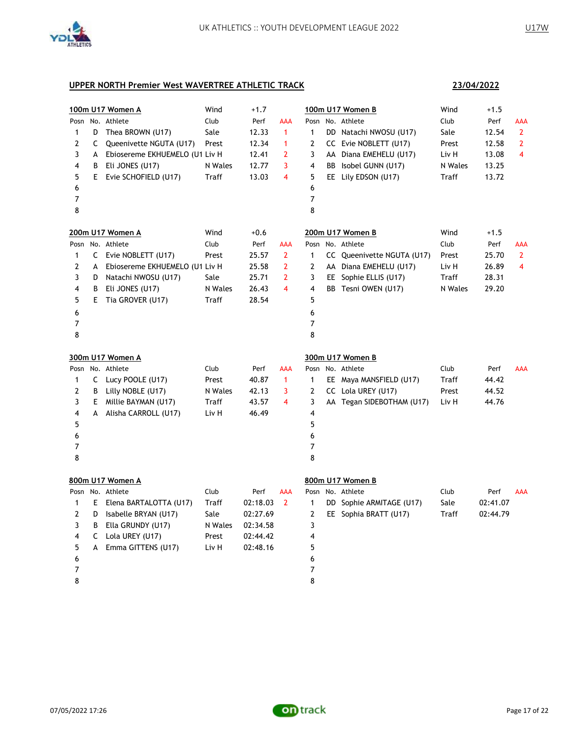

**23/04/2022**

|              |    | 100m U17 Women A               | Wind    | $+1.7$   |                         |              | 100m U17 Women B           | Wind    | $+1.5$   |                |
|--------------|----|--------------------------------|---------|----------|-------------------------|--------------|----------------------------|---------|----------|----------------|
|              |    | Posn No. Athlete               | Club    | Perf     | AAA                     |              | Posn No. Athlete           | Club    | Perf     | AAA            |
| 1            | D  | Thea BROWN (U17)               | Sale    | 12.33    | $\mathbf{1}$            | $\mathbf{1}$ | DD Natachi NWOSU (U17)     | Sale    | 12.54    | $\mathbf{2}$   |
| 2            | C  | Queenivette NGUTA (U17)        | Prest   | 12.34    | $\mathbf{1}$            | 2            | CC Evie NOBLETT (U17)      | Prest   | 12.58    | $\overline{2}$ |
| 3            | A  | Ebiosereme EKHUEMELO (U1 Liv H |         | 12.41    | 2                       | 3            | AA Diana EMEHELU (U17)     | Liv H   | 13.08    | 4              |
| 4            | В  | Eli JONES (U17)                | N Wales | 12.77    | 3                       | 4            | BB Isobel GUNN (U17)       | N Wales | 13.25    |                |
| 5            | E. | Evie SCHOFIELD (U17)           | Traff   | 13.03    | $\overline{\mathbf{4}}$ | 5            | EE Lily EDSON (U17)        | Traff   | 13.72    |                |
| 6            |    |                                |         |          |                         | 6            |                            |         |          |                |
| 7            |    |                                |         |          |                         | 7            |                            |         |          |                |
| 8            |    |                                |         |          |                         | 8            |                            |         |          |                |
|              |    | 200m U17 Women A               | Wind    | $+0.6$   |                         |              | 200m U17 Women B           | Wind    | $+1.5$   |                |
|              |    | Posn No. Athlete               | Club    | Perf     | <b>AAA</b>              |              | Posn No. Athlete           | Club    | Perf     | <b>AAA</b>     |
| $\mathbf{1}$ |    | C Evie NOBLETT (U17)           | Prest   | 25.57    | $\overline{2}$          | $\mathbf{1}$ | CC Queenivette NGUTA (U17) | Prest   | 25.70    | $\overline{2}$ |
| 2            | A  | Ebiosereme EKHUEMELO (U1 Liv H |         | 25.58    | $\overline{2}$          | 2            | AA Diana EMEHELU (U17)     | Liv H   | 26.89    | $\overline{4}$ |
| 3            | D  | Natachi NWOSU (U17)            | Sale    | 25.71    | 2                       | 3            | EE Sophie ELLIS (U17)      | Traff   | 28.31    |                |
| 4            | B  | Eli JONES (U17)                | N Wales | 26.43    | 4                       | 4            | BB Tesni OWEN (U17)        | N Wales | 29.20    |                |
| 5            | Е  | Tia GROVER (U17)               | Traff   | 28.54    |                         | 5            |                            |         |          |                |
| 6            |    |                                |         |          |                         | 6            |                            |         |          |                |
| 7            |    |                                |         |          |                         | 7            |                            |         |          |                |
| 8            |    |                                |         |          |                         | 8            |                            |         |          |                |
|              |    |                                |         |          |                         |              |                            |         |          |                |
|              |    |                                |         |          |                         |              |                            |         |          |                |
|              |    | 300m U17 Women A               |         |          |                         |              | 300m U17 Women B           |         |          |                |
| Posn         |    | No. Athlete                    | Club    | Perf     | <b>AAA</b>              |              | Posn No. Athlete           | Club    | Perf     | AAA            |
| 1            | C  | Lucy POOLE (U17)               | Prest   | 40.87    | $\mathbf{1}$            | 1            | EE Maya MANSFIELD (U17)    | Traff   | 44.42    |                |
| 2            | B  | Lilly NOBLE (U17)              | N Wales | 42.13    | 3                       | 2            | CC Lola UREY (U17)         | Prest   | 44.52    |                |
| 3            | E. | Millie BAYMAN (U17)            | Traff   | 43.57    | $\overline{\mathbf{4}}$ | 3            | AA Tegan SIDEBOTHAM (U17)  | Liv H   | 44.76    |                |
| 4            | A  | Alisha CARROLL (U17)           | Liv H   | 46.49    |                         | 4            |                            |         |          |                |
| 5            |    |                                |         |          |                         | 5            |                            |         |          |                |
| 6            |    |                                |         |          |                         | 6            |                            |         |          |                |
| 7            |    |                                |         |          |                         | 7            |                            |         |          |                |
| 8            |    |                                |         |          |                         | 8            |                            |         |          |                |
|              |    | 800m U17 Women A               |         |          |                         |              | 800m U17 Women B           |         |          |                |
|              |    | Posn No. Athlete               | Club    | Perf     | AAA                     |              | Posn No. Athlete           | Club    | Perf     | <b>AAA</b>     |
| 1            | E. | Elena BARTALOTTA (U17)         | Traff   | 02:18.03 | $\overline{2}$          | 1            | DD Sophie ARMITAGE (U17)   | Sale    | 02:41.07 |                |
| 2            | D  | Isabelle BRYAN (U17)           | Sale    | 02:27.69 |                         | 2            | EE Sophia BRATT (U17)      | Traff   | 02:44.79 |                |
| 3            | B  | Ella GRUNDY (U17)              | N Wales | 02:34.58 |                         | 3            |                            |         |          |                |
| 4            | C  | Lola UREY (U17)                | Prest   | 02:44.42 |                         | 4            |                            |         |          |                |
| 5            |    | A Emma GITTENS (U17)           | Liv H   | 02:48.16 |                         | 5            |                            |         |          |                |
| 6            |    |                                |         |          |                         | 6            |                            |         |          |                |
| 7            |    |                                |         |          |                         | 7            |                            |         |          |                |

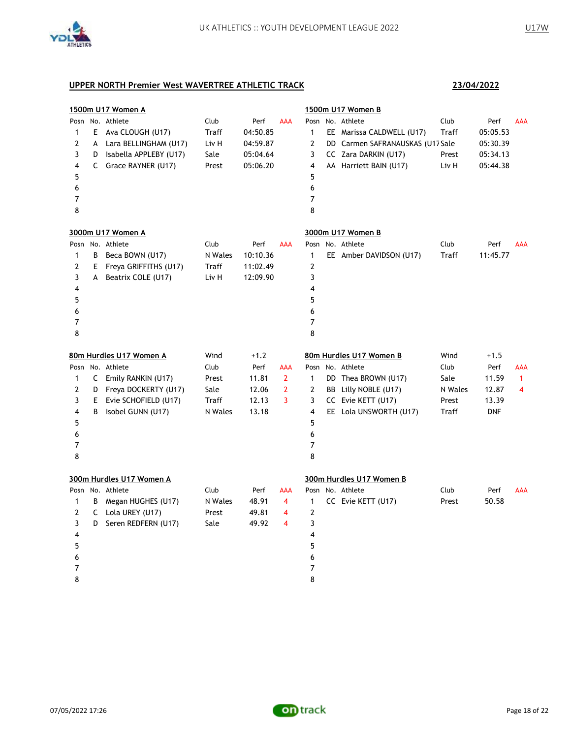

|              |    | 1500m U17 Women A        |         |          |                |                | 1500m U17 Women B                |         |            |              |
|--------------|----|--------------------------|---------|----------|----------------|----------------|----------------------------------|---------|------------|--------------|
| Posn         |    | No. Athlete              | Club    | Perf     | <b>AAA</b>     | Posn           | No. Athlete                      | Club    | Perf       | <b>AAA</b>   |
| 1            | E  | Ava CLOUGH (U17)         | Traff   | 04:50.85 |                | $\mathbf{1}$   | EE Marissa CALDWELL (U17)        | Traff   | 05:05.53   |              |
| 2            | A  | Lara BELLINGHAM (U17)    | Liv H   | 04:59.87 |                | 2              | DD Carmen SAFRANAUSKAS (U17 Sale |         | 05:30.39   |              |
| 3            | D  | Isabella APPLEBY (U17)   | Sale    | 05:04.64 |                | 3              | CC Zara DARKIN (U17)             | Prest   | 05:34.13   |              |
| 4            |    | C Grace RAYNER (U17)     | Prest   | 05:06.20 |                | 4              | AA Harriett BAIN (U17)           | Liv H   | 05:44.38   |              |
| 5            |    |                          |         |          |                | 5              |                                  |         |            |              |
| 6            |    |                          |         |          |                | 6              |                                  |         |            |              |
| 7            |    |                          |         |          |                | $\overline{7}$ |                                  |         |            |              |
| 8            |    |                          |         |          |                | 8              |                                  |         |            |              |
|              |    | 3000m U17 Women A        |         |          |                |                | 3000m U17 Women B                |         |            |              |
|              |    | Posn No. Athlete         | Club    | Perf     | <b>AAA</b>     |                | Posn No. Athlete                 | Club    | Perf       | AAA          |
| 1            | В  | Beca BOWN (U17)          | N Wales | 10:10.36 |                | $\mathbf{1}$   | EE Amber DAVIDSON (U17)          | Traff   | 11:45.77   |              |
| 2            | E  | Freya GRIFFITHS (U17)    | Traff   | 11:02.49 |                | $\overline{2}$ |                                  |         |            |              |
| 3            | A  | Beatrix COLE (U17)       | Liv H   | 12:09.90 |                | 3              |                                  |         |            |              |
| 4            |    |                          |         |          |                | 4              |                                  |         |            |              |
| 5            |    |                          |         |          |                | 5              |                                  |         |            |              |
| 6            |    |                          |         |          |                | 6              |                                  |         |            |              |
| 7            |    |                          |         |          |                | 7              |                                  |         |            |              |
| 8            |    |                          |         |          |                | 8              |                                  |         |            |              |
|              |    | 80m Hurdles U17 Women A  | Wind    | $+1.2$   |                |                | 80m Hurdles U17 Women B          | Wind    | $+1.5$     |              |
|              |    | Posn No. Athlete         | Club    | Perf     | AAA            |                | Posn No. Athlete                 | Club    | Perf       | <b>AAA</b>   |
|              |    |                          |         |          |                |                |                                  |         |            |              |
| 1            | C  | Emily RANKIN (U17)       | Prest   | 11.81    | $\mathbf{2}$   | $\mathbf{1}$   | DD Thea BROWN (U17)              | Sale    | 11.59      | $\mathbf{1}$ |
| 2            | D  | Freya DOCKERTY (U17)     | Sale    | 12.06    | $\overline{2}$ | 2              | BB Lilly NOBLE (U17)             | N Wales | 12.87      | 4            |
| 3            | E. | Evie SCHOFIELD (U17)     | Traff   | 12.13    | 3              | 3              | CC Evie KETT (U17)               | Prest   | 13.39      |              |
| 4            | В  | Isobel GUNN (U17)        | N Wales | 13.18    |                | 4              | EE Lola UNSWORTH (U17)           | Traff   | <b>DNF</b> |              |
| 5            |    |                          |         |          |                | 5              |                                  |         |            |              |
| 6            |    |                          |         |          |                | 6              |                                  |         |            |              |
| 7            |    |                          |         |          |                | 7              |                                  |         |            |              |
| 8            |    |                          |         |          |                | 8              |                                  |         |            |              |
|              |    | 300m Hurdles U17 Women A |         |          |                |                | 300m Hurdles U17 Women B         |         |            |              |
|              |    | Posn No. Athlete         | Club    | Perf     | AAA            |                | Posn No. Athlete                 | Club    | Perf       | <b>AAA</b>   |
| $\mathbf{1}$ | В  | Megan HUGHES (U17)       | N Wales | 48.91    | 4              | $\mathbf{1}$   | CC Evie KETT (U17)               | Prest   | 50.58      |              |
| 2            | C  | Lola UREY (U17)          | Prest   | 49.81    | 4              | $\overline{2}$ |                                  |         |            |              |
| 3            | D  | Seren REDFERN (U17)      | Sale    | 49.92    | 4              | 3              |                                  |         |            |              |
| 4            |    |                          |         |          |                | 4              |                                  |         |            |              |
| 5            |    |                          |         |          |                | 5              |                                  |         |            |              |
| 6            |    |                          |         |          |                | 6              |                                  |         |            |              |
| 7            |    |                          |         |          |                | 7              |                                  |         |            |              |

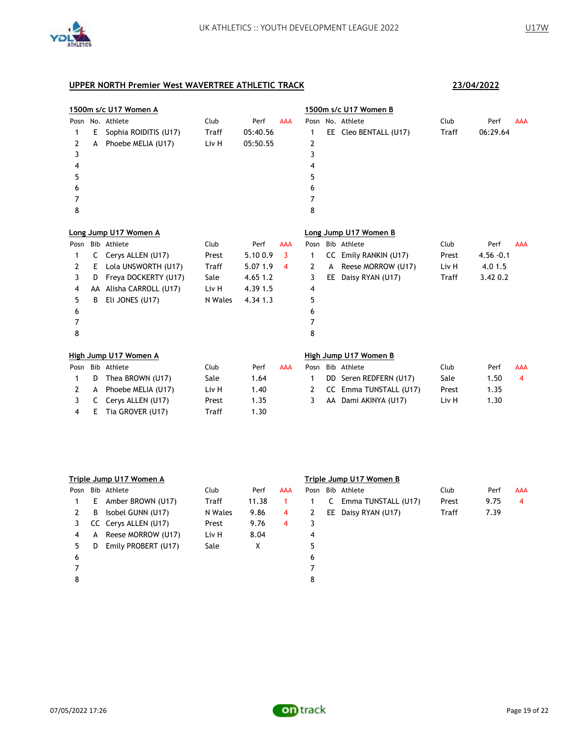

| 1500m s/c U17 Women A |    |                       |              |          |            | 1500m s/c U17 Women B |     |                        |       |              |            |
|-----------------------|----|-----------------------|--------------|----------|------------|-----------------------|-----|------------------------|-------|--------------|------------|
|                       |    | Posn No. Athlete      | Club         | Perf     | <b>AAA</b> |                       |     | Posn No. Athlete       | Club  | Perf         | <b>AAA</b> |
| 1                     | E. | Sophia ROIDITIS (U17) | Traff        | 05:40.56 |            | 1                     |     | EE Cleo BENTALL (U17)  | Traff | 06:29.64     |            |
| 2                     | A  | Phoebe MELIA (U17)    | Liv H        | 05:50.55 |            | 2                     |     |                        |       |              |            |
| 3                     |    |                       |              |          |            | 3                     |     |                        |       |              |            |
| 4                     |    |                       |              |          |            | 4                     |     |                        |       |              |            |
| 5                     |    |                       |              |          |            | 5                     |     |                        |       |              |            |
| 6                     |    |                       |              |          |            | 6                     |     |                        |       |              |            |
| 7                     |    |                       |              |          |            | 7                     |     |                        |       |              |            |
| 8                     |    |                       |              |          |            | 8                     |     |                        |       |              |            |
|                       |    | Long Jump U17 Women A |              |          |            |                       |     | Long Jump U17 Women B  |       |              |            |
| Posn                  |    | Bib Athlete           | Club         | Perf     | <b>AAA</b> | Posn                  |     | Bib Athlete            | Club  | Perf         | <b>AAA</b> |
| 1                     | C  | Cerys ALLEN (U17)     | Prest        | 5.100.9  | 3          | 1                     |     | CC Emily RANKIN (U17)  | Prest | $4.56 - 0.1$ |            |
| 2                     | Ε  | Lola UNSWORTH (U17)   | <b>Traff</b> | 5.07 1.9 | 4          | 2                     | A   | Reese MORROW (U17)     | Liv H | 4.01.5       |            |
| 3                     | D  | Freya DOCKERTY (U17)  | Sale         | 4.65 1.2 |            | 3                     | EE. | Daisy RYAN (U17)       | Traff | 3.42 0.2     |            |
| 4                     | AA | Alisha CARROLL (U17)  | Liv H        | 4.39 1.5 |            | 4                     |     |                        |       |              |            |
| 5                     | B  | Eli JONES (U17)       | N Wales      | 4.3413   |            | 5                     |     |                        |       |              |            |
| 6                     |    |                       |              |          |            | 6                     |     |                        |       |              |            |
| 7                     |    |                       |              |          |            | 7                     |     |                        |       |              |            |
| 8                     |    |                       |              |          |            | 8                     |     |                        |       |              |            |
|                       |    | High Jump U17 Women A |              |          |            |                       |     | High Jump U17 Women B  |       |              |            |
| Posn                  |    | Bib Athlete           | Club         | Perf     | <b>AAA</b> | Posn                  |     | Bib Athlete            | Club  | Perf         | <b>AAA</b> |
| 1                     | D  | Thea BROWN (U17)      | Sale         | 1.64     |            | 1                     |     | DD Seren REDFERN (U17) | Sale  | 1.50         | 4          |
| 2                     | A  | Phoebe MELIA (U17)    | Liv H        | 1.40     |            | 2                     |     | CC Emma TUNSTALL (U17) | Prest | 1.35         |            |
| 3                     | C  | Cerys ALLEN (U17)     | Prest        | 1.35     |            | 3                     | AA  | Dami AKINYA (U17)      | Liv H | 1.30         |            |
| 4                     | E  | Tia GROVER (U17)      | Traff        | 1.30     |            |                       |     |                        |       |              |            |

|      | Triple Jump U17 Women A |                      |         |       |     |   | Triple Jump U17 Women B |                     |       |      |            |  |  |
|------|-------------------------|----------------------|---------|-------|-----|---|-------------------------|---------------------|-------|------|------------|--|--|
| Posn |                         | Bib Athlete          | Club    | Perf  | AAA |   |                         | Posn Bib Athlete    | Club  | Perf | <b>AAA</b> |  |  |
|      | Е                       | Amber BROWN (U17)    | Traff   | 11.38 |     |   | C                       | Emma TUNSTALL (U17) | Prest | 9.75 | 4          |  |  |
| 2    | B                       | Isobel GUNN (U17)    | N Wales | 9.86  | 4   | 2 |                         | EE Daisy RYAN (U17) | Traff | 7.39 |            |  |  |
| 3.   |                         | CC Cervs ALLEN (U17) | Prest   | 9.76  | 4   |   |                         |                     |       |      |            |  |  |
| 4    | A                       | Reese MORROW (U17)   | Liv H   | 8.04  |     | 4 |                         |                     |       |      |            |  |  |
| 5.   | D                       | Emily PROBERT (U17)  | Sale    | X     |     | 5 |                         |                     |       |      |            |  |  |
| 6    |                         |                      |         |       |     | 6 |                         |                     |       |      |            |  |  |
|      |                         |                      |         |       |     |   |                         |                     |       |      |            |  |  |
| 8    |                         |                      |         |       |     | 8 |                         |                     |       |      |            |  |  |
|      |                         |                      |         |       |     |   |                         |                     |       |      |            |  |  |

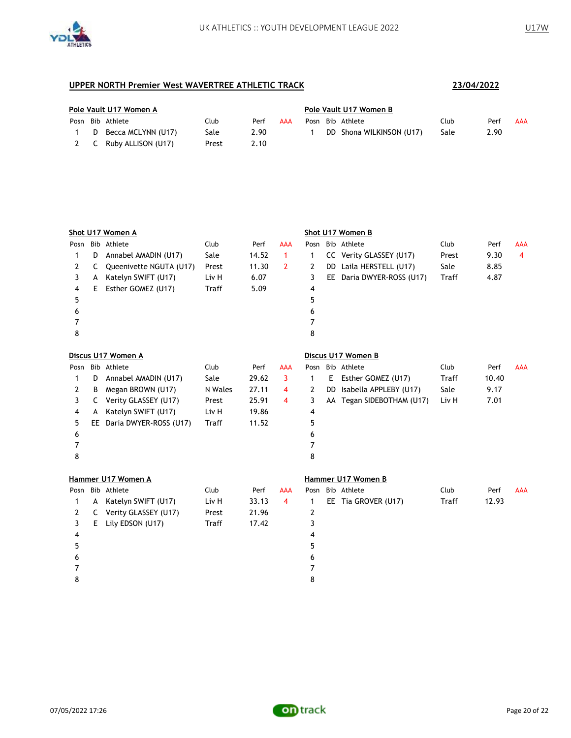

| Pole Vault U17 Women A |  |                        |       |      | Pole Vault U17 Women B |  |  |                          |      |      |     |
|------------------------|--|------------------------|-------|------|------------------------|--|--|--------------------------|------|------|-----|
|                        |  | Posn Bib Athlete       | Club  | Perf | AAA                    |  |  | Posn Bib Athlete         | Club | Perf | AAA |
|                        |  | D Becca MCLYNN (U17)   | Sale  | 2.90 |                        |  |  | DD Shona WILKINSON (U17) | Sale | 2.90 |     |
|                        |  | 2 C Ruby ALLISON (U17) | Prest | 2.10 |                        |  |  |                          |      |      |     |

|      |    | Shot U17 Women A          |         |       |                |      |    | Shot U17 Women B          |       |       |            |
|------|----|---------------------------|---------|-------|----------------|------|----|---------------------------|-------|-------|------------|
| Posn |    | Bib Athlete               | Club    | Perf  | AAA            | Posn |    | Bib Athlete               | Club  | Perf  | <b>AAA</b> |
| 1    | D  | Annabel AMADIN (U17)      | Sale    | 14.52 | 1              | 1    |    | CC Verity GLASSEY (U17)   | Prest | 9.30  | 4          |
| 2    | C  | Queenivette NGUTA (U17)   | Prest   | 11.30 | $\overline{2}$ | 2    |    | DD Laila HERSTELL (U17)   | Sale  | 8.85  |            |
| 3    | A  | Katelyn SWIFT (U17)       | Liv H   | 6.07  |                | 3    |    | EE Daria DWYER-ROSS (U17) | Traff | 4.87  |            |
| 4    | E. | Esther GOMEZ (U17)        | Traff   | 5.09  |                | 4    |    |                           |       |       |            |
| 5    |    |                           |         |       |                | 5    |    |                           |       |       |            |
| 6    |    |                           |         |       |                | 6    |    |                           |       |       |            |
| 7    |    |                           |         |       |                | 7    |    |                           |       |       |            |
| 8    |    |                           |         |       |                | 8    |    |                           |       |       |            |
|      |    | Discus U17 Women A        |         |       |                |      |    | Discus U17 Women B        |       |       |            |
|      |    | Posn Bib Athlete          | Club    | Perf  | <b>AAA</b>     |      |    | Posn Bib Athlete          | Club  | Perf  | <b>AAA</b> |
| 1    | D  | Annabel AMADIN (U17)      | Sale    | 29.62 | 3              | 1    | E. | Esther GOMEZ (U17)        | Traff | 10.40 |            |
| 2    | B  | Megan BROWN (U17)         | N Wales | 27.11 | 4              | 2    |    | DD Isabella APPLEBY (U17) | Sale  | 9.17  |            |
| 3    | C  | Verity GLASSEY (U17)      | Prest   | 25.91 | 4              | 3    |    | AA Tegan SIDEBOTHAM (U17) | Liv H | 7.01  |            |
| 4    | A  | Katelyn SWIFT (U17)       | Liv H   | 19.86 |                | 4    |    |                           |       |       |            |
| 5    |    | EE Daria DWYER-ROSS (U17) | Traff   | 11.52 |                | 5    |    |                           |       |       |            |
| 6    |    |                           |         |       |                | 6    |    |                           |       |       |            |
| 7    |    |                           |         |       |                | 7    |    |                           |       |       |            |
| 8    |    |                           |         |       |                | 8    |    |                           |       |       |            |
|      |    | Hammer U17 Women A        |         |       |                |      |    | Hammer U17 Women B        |       |       |            |
| Posn |    | Bib Athlete               | Club    | Perf  | <b>AAA</b>     |      |    | Posn Bib Athlete          | Club  | Perf  | <b>AAA</b> |
| 1    | A  | Katelyn SWIFT (U17)       | Liv H   | 33.13 | 4              | 1    |    | EE Tia GROVER (U17)       | Traff | 12.93 |            |
| 2    | C  | Verity GLASSEY (U17)      | Prest   | 21.96 |                | 2    |    |                           |       |       |            |
| 3    | E. | Lily EDSON (U17)          | Traff   | 17.42 |                | 3    |    |                           |       |       |            |
| 4    |    |                           |         |       |                | 4    |    |                           |       |       |            |
| 5    |    |                           |         |       |                | 5    |    |                           |       |       |            |
| 6    |    |                           |         |       |                | 6    |    |                           |       |       |            |
| 7    |    |                           |         |       |                | 7    |    |                           |       |       |            |
| 8    |    |                           |         |       |                | 8    |    |                           |       |       |            |

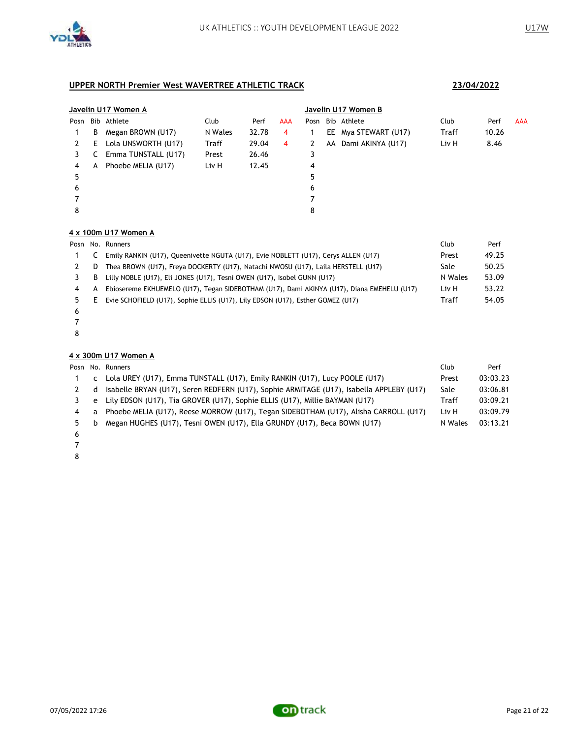

### **Javelin U17 Women A Javelin U17 Women B** Posn Bib Athlete Club Perf AAA Posn Bib Athlete Club Perf AAA B Megan BROWN (U17) N Wales 32.78 4 1 EE Mya STEWART (U17) Traff 10.26 2 E Lola UNSWORTH (U17) Traff 29.04 4 2 AA Dami AKINYA (U17) Liv H 8.46 3 C Emma TUNSTALL (U17) Prest 26.46 3 4 A Phoebe MELIA (U17) Liv H 12.45 4 5 7 8

#### **4 x 100m U17 Women A**

|    |   | Posn No. Runners                                                                           | Club    | Perf  |
|----|---|--------------------------------------------------------------------------------------------|---------|-------|
|    |   | Emily RANKIN (U17), Queenivette NGUTA (U17), Evie NOBLETT (U17), Cerys ALLEN (U17)         | Prest   | 49.25 |
|    | D | Thea BROWN (U17), Freya DOCKERTY (U17), Natachi NWOSU (U17), Laila HERSTELL (U17)          | Sale    | 50.25 |
|    | В | Lilly NOBLE (U17), Eli JONES (U17), Tesni OWEN (U17), Isobel GUNN (U17)                    | N Wales | 53.09 |
|    | А | Ebiosereme EKHUEMELO (U17), Tegan SIDEBOTHAM (U17), Dami AKINYA (U17), Diana EMEHELU (U17) | Liv H   | 53.22 |
| 5. | Ε | Evie SCHOFIELD (U17), Sophie ELLIS (U17), Lily EDSON (U17), Esther GOMEZ (U17)             | Traff   | 54.05 |
|    |   |                                                                                            |         |       |

- 
- 

#### **4 x 300m U17 Women A**

|    |   | Posn No. Runners                                                                         | Club    | Perf     |
|----|---|------------------------------------------------------------------------------------------|---------|----------|
|    | C | Lola UREY (U17), Emma TUNSTALL (U17), Emily RANKIN (U17), Lucy POOLE (U17)               | Prest   | 03:03.23 |
|    | d | Isabelle BRYAN (U17), Seren REDFERN (U17), Sophie ARMITAGE (U17), Isabella APPLEBY (U17) | Sale    | 03:06.81 |
|    | e | Lily EDSON (U17), Tia GROVER (U17), Sophie ELLIS (U17), Millie BAYMAN (U17)              | Traff   | 03:09.21 |
| 4  | a | Phoebe MELIA (U17), Reese MORROW (U17), Tegan SIDEBOTHAM (U17), Alisha CARROLL (U17)     | Liv H   | 03:09.79 |
| 5. | b | Megan HUGHES (U17), Tesni OWEN (U17), Ella GRUNDY (U17), Beca BOWN (U17)                 | N Wales | 03:13.21 |
|    |   |                                                                                          |         |          |

- 
- 
-